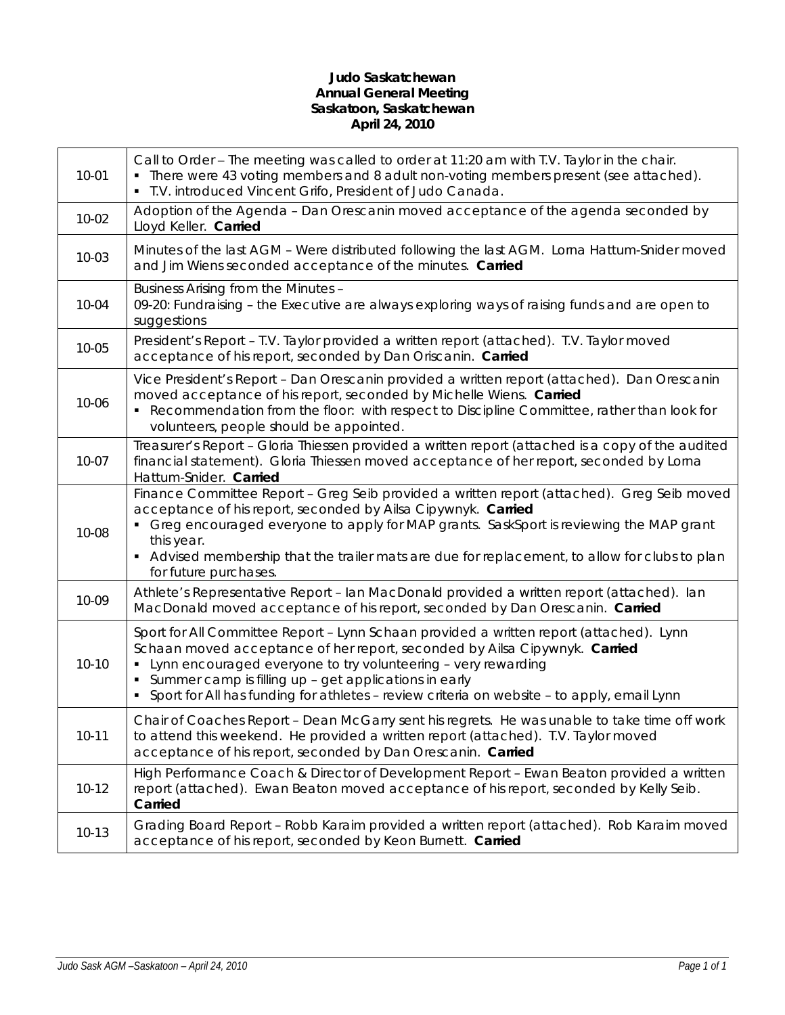# **Judo Saskatchewan Annual General Meeting Saskatoon, Saskatchewan April 24, 2010**

| $10 - 01$ | Call to Order - The meeting was called to order at 11:20 am with T.V. Taylor in the chair.<br>• There were 43 voting members and 8 adult non-voting members present (see attached).<br>· T.V. introduced Vincent Grifo, President of Judo Canada.                                                                                                                                              |
|-----------|------------------------------------------------------------------------------------------------------------------------------------------------------------------------------------------------------------------------------------------------------------------------------------------------------------------------------------------------------------------------------------------------|
| $10 - 02$ | Adoption of the Agenda - Dan Orescanin moved acceptance of the agenda seconded by<br>Lloyd Keller. Carried                                                                                                                                                                                                                                                                                     |
| $10 - 03$ | Minutes of the last AGM - Were distributed following the last AGM. Lorna Hattum-Snider moved<br>and Jim Wiens seconded acceptance of the minutes. Carried                                                                                                                                                                                                                                      |
| 10-04     | Business Arising from the Minutes -<br>09-20: Fundraising - the Executive are always exploring ways of raising funds and are open to<br>suggestions                                                                                                                                                                                                                                            |
| 10-05     | President's Report - T.V. Taylor provided a written report (attached). T.V. Taylor moved<br>acceptance of his report, seconded by Dan Oriscanin. Carried                                                                                                                                                                                                                                       |
| 10-06     | Vice President's Report - Dan Orescanin provided a written report (attached). Dan Orescanin<br>moved acceptance of his report, seconded by Michelle Wiens. Carried<br>• Recommendation from the floor: with respect to Discipline Committee, rather than look for<br>volunteers, people should be appointed.                                                                                   |
| $10 - 07$ | Treasurer's Report - Gloria Thiessen provided a written report (attached is a copy of the audited<br>financial statement). Gloria Thiessen moved acceptance of her report, seconded by Lorna<br>Hattum-Snider. Carried                                                                                                                                                                         |
| 10-08     | Finance Committee Report - Greg Seib provided a written report (attached). Greg Seib moved<br>acceptance of his report, seconded by Ailsa Cipywnyk. Carried<br>• Greg encouraged everyone to apply for MAP grants. SaskSport is reviewing the MAP grant<br>this year.<br>Advised membership that the trailer mats are due for replacement, to allow for clubs to plan<br>for future purchases. |
| 10-09     | Athlete's Representative Report - Ian MacDonald provided a written report (attached). Ian<br>MacDonald moved acceptance of his report, seconded by Dan Orescanin. Carried                                                                                                                                                                                                                      |
| $10 - 10$ | Sport for All Committee Report - Lynn Schaan provided a written report (attached). Lynn<br>Schaan moved acceptance of her report, seconded by Ailsa Cipywnyk. Carried<br>Lynn encouraged everyone to try volunteering - very rewarding<br>Summer camp is filling up - get applications in early<br>Sport for All has funding for athletes - review criteria on website - to apply, email Lynn  |
| $10 - 11$ | Chair of Coaches Report - Dean McGarry sent his regrets. He was unable to take time off work<br>to attend this weekend. He provided a written report (attached). T.V. Taylor moved<br>acceptance of his report, seconded by Dan Orescanin. Carried                                                                                                                                             |
| $10 - 12$ | High Performance Coach & Director of Development Report - Ewan Beaton provided a written<br>report (attached). Ewan Beaton moved acceptance of his report, seconded by Kelly Seib.<br>Carried                                                                                                                                                                                                  |
| $10-13$   | Grading Board Report - Robb Karaim provided a written report (attached). Rob Karaim moved<br>acceptance of his report, seconded by Keon Burnett. Carried                                                                                                                                                                                                                                       |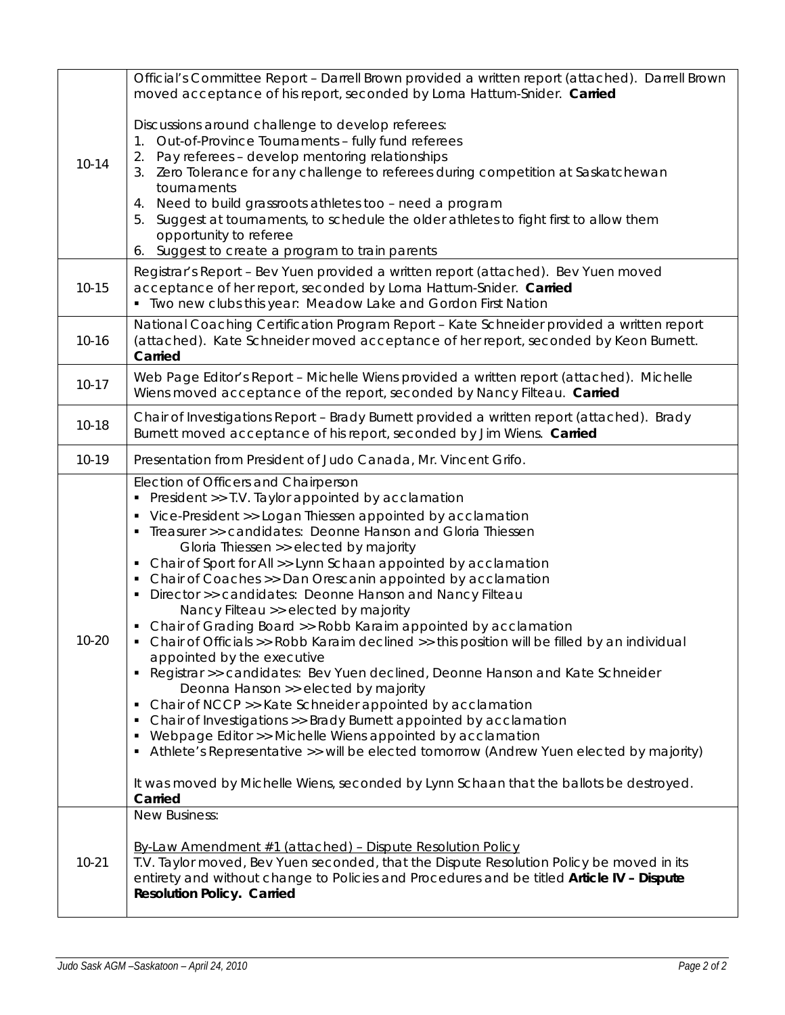|           | Official's Committee Report - Darrell Brown provided a written report (attached). Darrell Brown<br>moved acceptance of his report, seconded by Lorna Hattum-Snider. Carried                                                                                                                                                                                                                                                                                                                                                                                                                                                                                                                                                                                                                                                                                                                                                                                                                                                                                                                                                                                                                                                          |  |  |
|-----------|--------------------------------------------------------------------------------------------------------------------------------------------------------------------------------------------------------------------------------------------------------------------------------------------------------------------------------------------------------------------------------------------------------------------------------------------------------------------------------------------------------------------------------------------------------------------------------------------------------------------------------------------------------------------------------------------------------------------------------------------------------------------------------------------------------------------------------------------------------------------------------------------------------------------------------------------------------------------------------------------------------------------------------------------------------------------------------------------------------------------------------------------------------------------------------------------------------------------------------------|--|--|
| $10 - 14$ | Discussions around challenge to develop referees:<br>Out-of-Province Tournaments - fully fund referees<br>Pay referees - develop mentoring relationships<br>3. Zero Tolerance for any challenge to referees during competition at Saskatchewan<br>tournaments<br>4. Need to build grassroots athletes too - need a program<br>Suggest at tournaments, to schedule the older athletes to fight first to allow them<br>opportunity to referee<br>Suggest to create a program to train parents<br>6.                                                                                                                                                                                                                                                                                                                                                                                                                                                                                                                                                                                                                                                                                                                                    |  |  |
| $10 - 15$ | Registrar's Report - Bev Yuen provided a written report (attached). Bev Yuen moved<br>acceptance of her report, seconded by Lorna Hattum-Snider. Carried<br>" Two new clubs this year: Meadow Lake and Gordon First Nation                                                                                                                                                                                                                                                                                                                                                                                                                                                                                                                                                                                                                                                                                                                                                                                                                                                                                                                                                                                                           |  |  |
| $10 - 16$ | National Coaching Certification Program Report - Kate Schneider provided a written report<br>(attached). Kate Schneider moved acceptance of her report, seconded by Keon Burnett.<br>Carried                                                                                                                                                                                                                                                                                                                                                                                                                                                                                                                                                                                                                                                                                                                                                                                                                                                                                                                                                                                                                                         |  |  |
| $10-17$   | Web Page Editor's Report - Michelle Wiens provided a written report (attached). Michelle<br>Wiens moved acceptance of the report, seconded by Nancy Filteau. Carried                                                                                                                                                                                                                                                                                                                                                                                                                                                                                                                                                                                                                                                                                                                                                                                                                                                                                                                                                                                                                                                                 |  |  |
| $10 - 18$ | Chair of Investigations Report - Brady Burnett provided a written report (attached). Brady<br>Burnett moved acceptance of his report, seconded by Jim Wiens. Carried                                                                                                                                                                                                                                                                                                                                                                                                                                                                                                                                                                                                                                                                                                                                                                                                                                                                                                                                                                                                                                                                 |  |  |
| $10-19$   | Presentation from President of Judo Canada, Mr. Vincent Grifo.                                                                                                                                                                                                                                                                                                                                                                                                                                                                                                                                                                                                                                                                                                                                                                                                                                                                                                                                                                                                                                                                                                                                                                       |  |  |
| 10-20     | Election of Officers and Chairperson<br>President >> T.V. Taylor appointed by acclamation<br>• Vice-President >> Logan Thiessen appointed by acclamation<br>• Treasurer >> candidates: Deonne Hanson and Gloria Thiessen<br>Gloria Thiessen >> elected by majority<br>• Chair of Sport for All >> Lynn Schaan appointed by acclamation<br>Chair of Coaches >> Dan Orescanin appointed by acclamation<br>Director >> candidates: Deonne Hanson and Nancy Filteau<br>Nancy Filteau >> elected by majority<br>• Chair of Grading Board >> Robb Karaim appointed by acclamation<br>Chair of Officials >> Robb Karaim declined >> this position will be filled by an individual<br>appointed by the executive<br>• Registrar >> candidates: Bev Yuen declined, Deonne Hanson and Kate Schneider<br>Deonna Hanson >> elected by majority<br>Chair of NCCP >> Kate Schneider appointed by acclamation<br>п<br>Chair of Investigations >> Brady Burnett appointed by acclamation<br>Webpage Editor >> Michelle Wiens appointed by acclamation<br>Athlete's Representative >> will be elected tomorrow (Andrew Yuen elected by majority)<br>It was moved by Michelle Wiens, seconded by Lynn Schaan that the ballots be destroyed.<br>Carried |  |  |
| $10 - 21$ | New Business:<br>By-Law Amendment #1 (attached) - Dispute Resolution Policy<br>T.V. Taylor moved, Bev Yuen seconded, that the Dispute Resolution Policy be moved in its<br>entirety and without change to Policies and Procedures and be titled Article IV - Dispute<br><b>Resolution Policy. Carried</b>                                                                                                                                                                                                                                                                                                                                                                                                                                                                                                                                                                                                                                                                                                                                                                                                                                                                                                                            |  |  |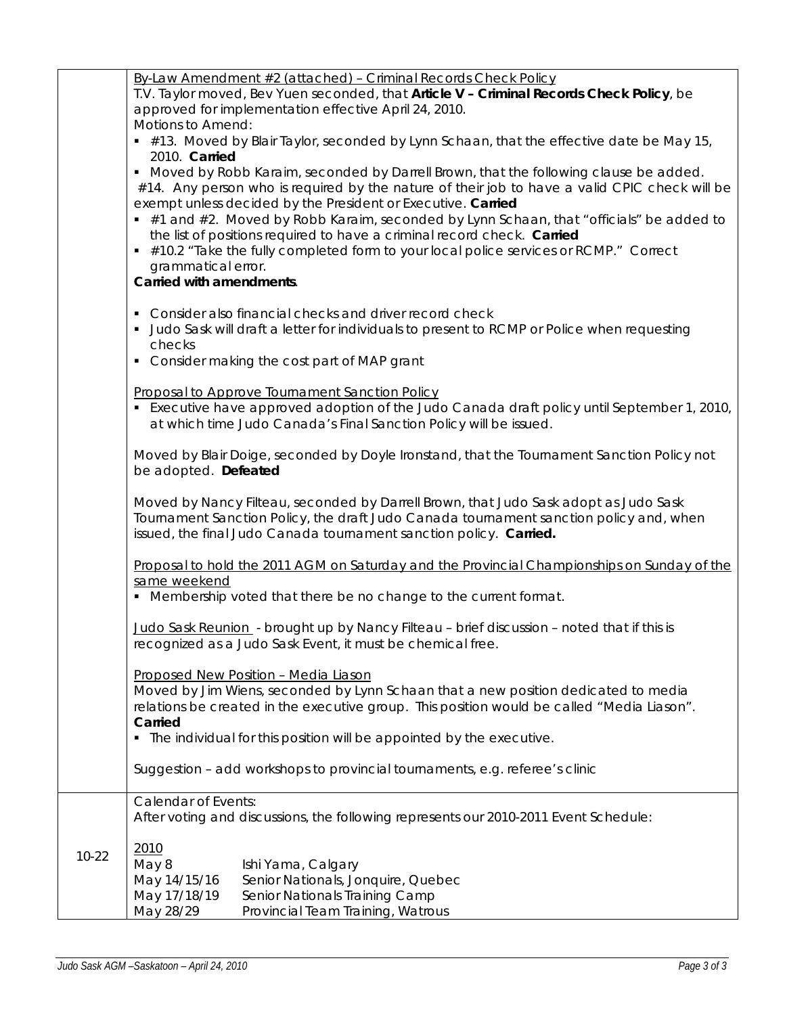|           | By-Law Amendment #2 (attached) - Criminal Records Check Policy                                                                                                                 |  |  |  |  |
|-----------|--------------------------------------------------------------------------------------------------------------------------------------------------------------------------------|--|--|--|--|
|           | T.V. Taylor moved, Bev Yuen seconded, that Article V - Criminal Records Check Policy, be                                                                                       |  |  |  |  |
|           | approved for implementation effective April 24, 2010.                                                                                                                          |  |  |  |  |
|           | Motions to Amend:                                                                                                                                                              |  |  |  |  |
|           | #13. Moved by Blair Taylor, seconded by Lynn Schaan, that the effective date be May 15,                                                                                        |  |  |  |  |
|           | 2010. Carried                                                                                                                                                                  |  |  |  |  |
|           | • Moved by Robb Karaim, seconded by Darrell Brown, that the following clause be added.                                                                                         |  |  |  |  |
|           | #14. Any person who is required by the nature of their job to have a valid CPIC check will be                                                                                  |  |  |  |  |
|           | exempt unless decided by the President or Executive. Carried                                                                                                                   |  |  |  |  |
|           | #1 and #2. Moved by Robb Karaim, seconded by Lynn Schaan, that "officials" be added to                                                                                         |  |  |  |  |
|           | the list of positions required to have a criminal record check. Carried                                                                                                        |  |  |  |  |
|           | #10.2 "Take the fully completed form to your local police services or RCMP." Correct                                                                                           |  |  |  |  |
|           | grammatical error.                                                                                                                                                             |  |  |  |  |
|           | Carried with amendments.                                                                                                                                                       |  |  |  |  |
|           |                                                                                                                                                                                |  |  |  |  |
|           | • Consider also financial checks and driver record check                                                                                                                       |  |  |  |  |
|           | Judo Sask will draft a letter for individuals to present to RCMP or Police when requesting                                                                                     |  |  |  |  |
|           | checks                                                                                                                                                                         |  |  |  |  |
|           | • Consider making the cost part of MAP grant                                                                                                                                   |  |  |  |  |
|           |                                                                                                                                                                                |  |  |  |  |
|           | Proposal to Approve Tournament Sanction Policy                                                                                                                                 |  |  |  |  |
|           | . Executive have approved adoption of the Judo Canada draft policy until September 1, 2010,                                                                                    |  |  |  |  |
|           | at which time Judo Canada's Final Sanction Policy will be issued.                                                                                                              |  |  |  |  |
|           |                                                                                                                                                                                |  |  |  |  |
|           | Moved by Blair Doige, seconded by Doyle Ironstand, that the Tournament Sanction Policy not                                                                                     |  |  |  |  |
|           | be adopted. Defeated                                                                                                                                                           |  |  |  |  |
|           |                                                                                                                                                                                |  |  |  |  |
|           | Moved by Nancy Filteau, seconded by Darrell Brown, that Judo Sask adopt as Judo Sask<br>Tournament Sanction Policy, the draft Judo Canada tournament sanction policy and, when |  |  |  |  |
|           |                                                                                                                                                                                |  |  |  |  |
|           | issued, the final Judo Canada tournament sanction policy. Carried.                                                                                                             |  |  |  |  |
|           |                                                                                                                                                                                |  |  |  |  |
|           | Proposal to hold the 2011 AGM on Saturday and the Provincial Championships on Sunday of the                                                                                    |  |  |  |  |
|           | same weekend<br>• Membership voted that there be no change to the current format.                                                                                              |  |  |  |  |
|           |                                                                                                                                                                                |  |  |  |  |
|           | Judo Sask Reunion - brought up by Nancy Filteau - brief discussion - noted that if this is                                                                                     |  |  |  |  |
|           | recognized as a Judo Sask Event, it must be chemical free.                                                                                                                     |  |  |  |  |
|           |                                                                                                                                                                                |  |  |  |  |
|           | Proposed New Position - Media Liason                                                                                                                                           |  |  |  |  |
|           | Moved by Jim Wiens, seconded by Lynn Schaan that a new position dedicated to media                                                                                             |  |  |  |  |
|           | relations be created in the executive group. This position would be called "Media Liason".                                                                                     |  |  |  |  |
|           | Carried                                                                                                                                                                        |  |  |  |  |
|           | • The individual for this position will be appointed by the executive.                                                                                                         |  |  |  |  |
|           |                                                                                                                                                                                |  |  |  |  |
|           | Suggestion - add workshops to provincial tournaments, e.g. referee's clinic                                                                                                    |  |  |  |  |
|           |                                                                                                                                                                                |  |  |  |  |
|           | <b>Calendar of Events:</b>                                                                                                                                                     |  |  |  |  |
|           | After voting and discussions, the following represents our 2010-2011 Event Schedule:                                                                                           |  |  |  |  |
|           |                                                                                                                                                                                |  |  |  |  |
| $10 - 22$ | 2010                                                                                                                                                                           |  |  |  |  |
|           | May 8<br>Ishi Yama, Calgary                                                                                                                                                    |  |  |  |  |
|           | Senior Nationals, Jonquire, Quebec<br>May 14/15/16                                                                                                                             |  |  |  |  |
|           | May 17/18/19<br>Senior Nationals Training Camp                                                                                                                                 |  |  |  |  |
|           | May 28/29<br>Provincial Team Training, Watrous                                                                                                                                 |  |  |  |  |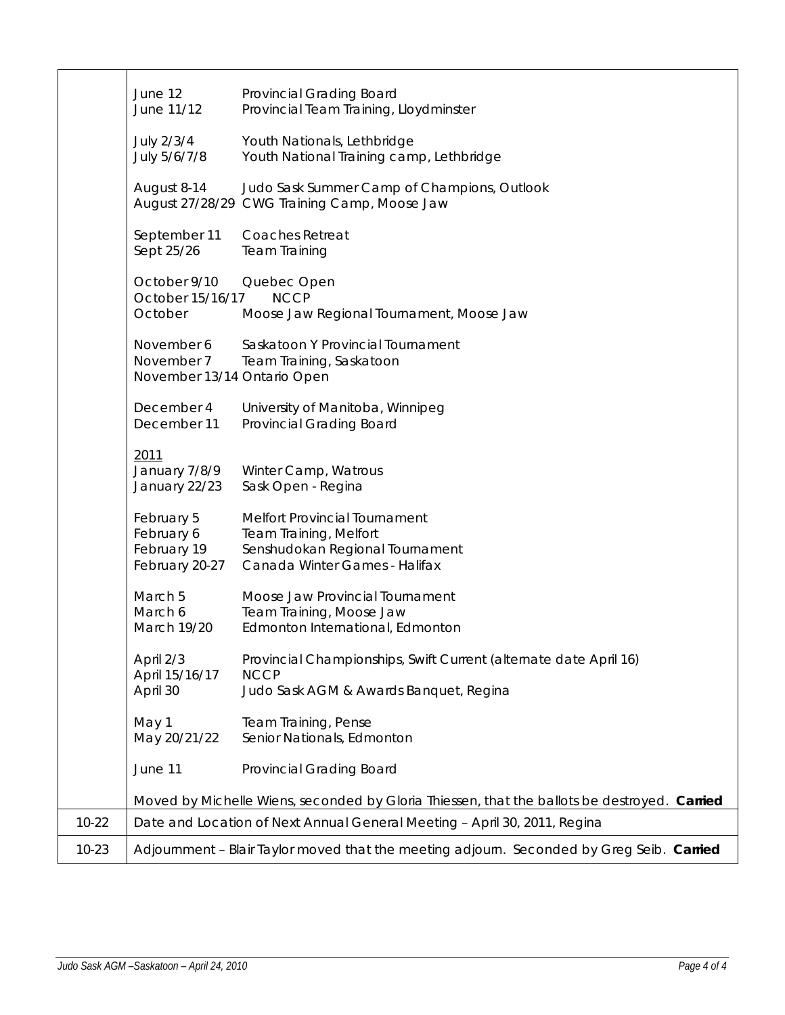|           | June 12<br>June 11/12                                     | Provincial Grading Board<br>Provincial Team Training, Lloydminster                                                          |
|-----------|-----------------------------------------------------------|-----------------------------------------------------------------------------------------------------------------------------|
|           | July 2/3/4<br>July 5/6/7/8                                | Youth Nationals, Lethbridge<br>Youth National Training camp, Lethbridge                                                     |
|           | August 8-14                                               | Judo Sask Summer Camp of Champions, Outlook<br>August 27/28/29 CWG Training Camp, Moose Jaw                                 |
|           | September 11<br>Sept 25/26                                | Coaches Retreat<br><b>Team Training</b>                                                                                     |
|           | October 9/10<br>October 15/16/17<br>October               | Quebec Open<br><b>NCCP</b><br>Moose Jaw Regional Tournament, Moose Jaw                                                      |
|           | November 6<br>November 7<br>November 13/14 Ontario Open   | Saskatoon Y Provincial Tournament<br>Team Training, Saskatoon                                                               |
|           | December 4<br>December 11                                 | University of Manitoba, Winnipeg<br>Provincial Grading Board                                                                |
|           | 2011<br>January 7/8/9<br>January 22/23                    | Winter Camp, Watrous<br>Sask Open - Regina                                                                                  |
|           | February 5<br>February 6<br>February 19<br>February 20-27 | Melfort Provincial Tournament<br>Team Training, Melfort<br>Senshudokan Regional Tournament<br>Canada Winter Games - Halifax |
|           | March 5<br>March 6<br>March 19/20                         | Moose Jaw Provincial Tournament<br>Team Training, Moose Jaw<br>Edmonton International, Edmonton                             |
|           | April 2/3<br>April 15/16/17<br>April 30                   | Provincial Championships, Swift Current (alternate date April 16)<br><b>NCCP</b><br>Judo Sask AGM & Awards Banquet, Regina  |
|           | May 1<br>May 20/21/22                                     | Team Training, Pense<br>Senior Nationals, Edmonton                                                                          |
|           | June 11                                                   | Provincial Grading Board                                                                                                    |
|           |                                                           | Moved by Michelle Wiens, seconded by Gloria Thiessen, that the ballots be destroyed. Carried                                |
| $10 - 22$ |                                                           | Date and Location of Next Annual General Meeting - April 30, 2011, Regina                                                   |
| $10 - 23$ |                                                           | Adjournment - Blair Taylor moved that the meeting adjourn. Seconded by Greg Seib. Carried                                   |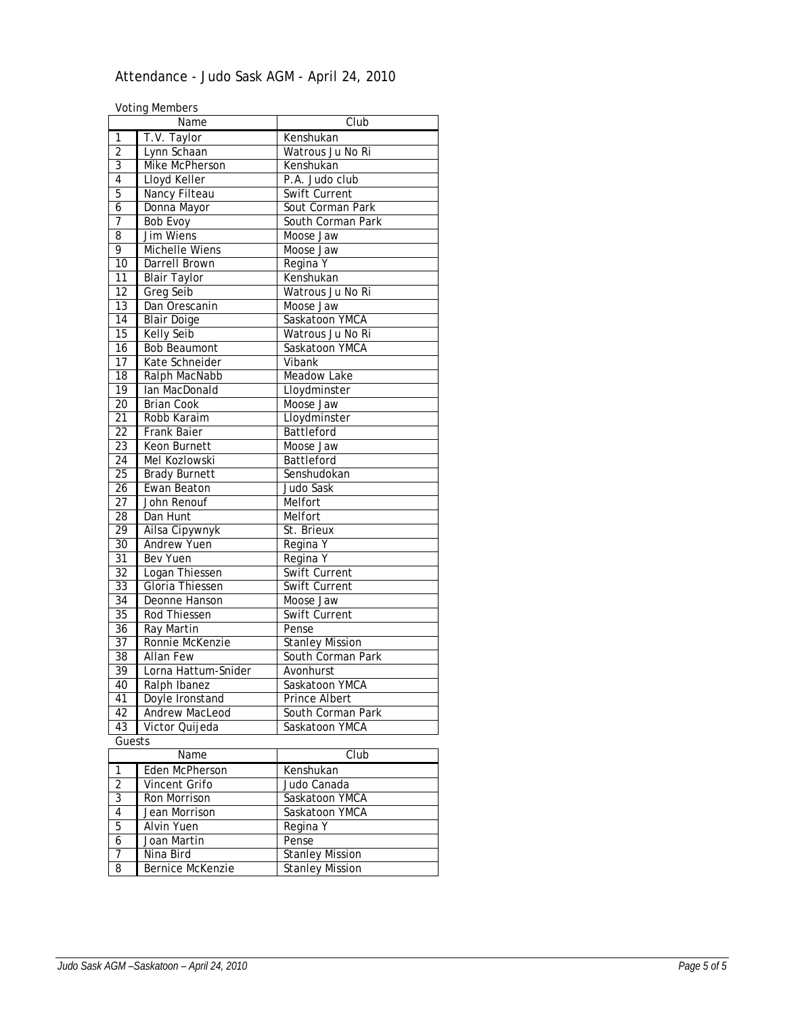# Attendance - Judo Sask AGM - April 24, 2010

Voting Members

|                 | voting members        |                        |
|-----------------|-----------------------|------------------------|
|                 | Name                  | Club                   |
| 1               | T.V. Taylor           | Kenshukan              |
| $\overline{2}$  | Lynn Schaan           | Watrous Ju No Ri       |
| $\overline{3}$  | Mike McPherson        | Kenshukan              |
| $\overline{4}$  | Lloyd Keller          | P.A. Judo club         |
| 5               | Nancy Filteau         | <b>Swift Current</b>   |
| $\overline{6}$  | Donna Mayor           | Sout Corman Park       |
| $\overline{7}$  | <b>Bob Evoy</b>       | South Corman Park      |
| 8               | Jim Wiens             | Moose Jaw              |
| 9               | <b>Michelle Wiens</b> | Moose Jaw              |
| 10              | Darrell Brown         | Regina Y               |
| 11              | <b>Blair Taylor</b>   | Kenshukan              |
| $\overline{12}$ | <b>Greg Seib</b>      | Watrous Ju No Ri       |
| 13              | Dan Orescanin         | Moose Jaw              |
| 14              | <b>Blair Doige</b>    | Saskatoon YMCA         |
| 15              | Kelly Seib            | Watrous Ju No Ri       |
| $\overline{16}$ | <b>Bob Beaumont</b>   | Saskatoon YMCA         |
| $\overline{17}$ | Kate Schneider        | Vibank                 |
| 18              | Ralph MacNabb         | Meadow Lake            |
| $\overline{19}$ | Ian MacDonald         | Lloydminster           |
| $\overline{20}$ | <b>Brian Cook</b>     | Moose Jaw              |
| $\overline{21}$ | Robb Karaim           | Lloydminster           |
| $\overline{22}$ | <b>Frank Baier</b>    | Battleford             |
| $\overline{23}$ | <b>Keon Burnett</b>   | Moose Jaw              |
| $\overline{24}$ | Mel Kozlowski         | Battleford             |
| $\overline{25}$ | <b>Brady Burnett</b>  | Senshudokan            |
| $\overline{26}$ | Ewan Beaton           | Judo Sask              |
| $\overline{27}$ | John Renouf           | Melfort                |
| 28              | Dan Hunt              | Melfort                |
| $\overline{29}$ | Ailsa Cipywnyk        | St. Brieux             |
| 30              | Andrew Yuen           | Regina Y               |
| $\overline{31}$ | Bev Yuen              | Regina Y               |
| $\overline{32}$ | Logan Thiessen        | Swift Current          |
| $\overline{33}$ | Gloria Thiessen       | Swift Current          |
| 34              | Deonne Hanson         | Moose Jaw              |
| $\overline{35}$ | <b>Rod Thiessen</b>   | Swift Current          |
| 36              | <b>Ray Martin</b>     | Pense                  |
| $\overline{37}$ | Ronnie McKenzie       | <b>Stanley Mission</b> |
| 38              | Allan Few             | South Corman Park      |
| 39              | Lorna Hattum-Snider   | Avonhurst              |
| 40              | Ralph Ibanez          | Saskatoon YMCA         |
| 41              | Doyle Ironstand       | Prince Albert          |
| $\overline{42}$ | <b>Andrew MacLeod</b> | South Corman Park      |
| 43              | Victor Quijeda        | Saskatoon YMCA         |
| Guests          |                       |                        |
|                 | Name                  | Club                   |
| $\overline{1}$  | Eden McPherson        | Kenshukan              |
| $\overline{2}$  | <b>Vincent Grifo</b>  | Judo Canada            |
| 3               | Ron Morrison          | Saskatoon YMCA         |
| $\overline{4}$  | Jean Morrison         | Saskatoon YMCA         |
| 5               | <b>Alvin Yuen</b>     | Regina Y               |
| 6               | Joan Martin           | Pense                  |
| 7               | Nina Bird             | <b>Stanley Mission</b> |
| 8               | Bernice McKenzie      | <b>Stanley Mission</b> |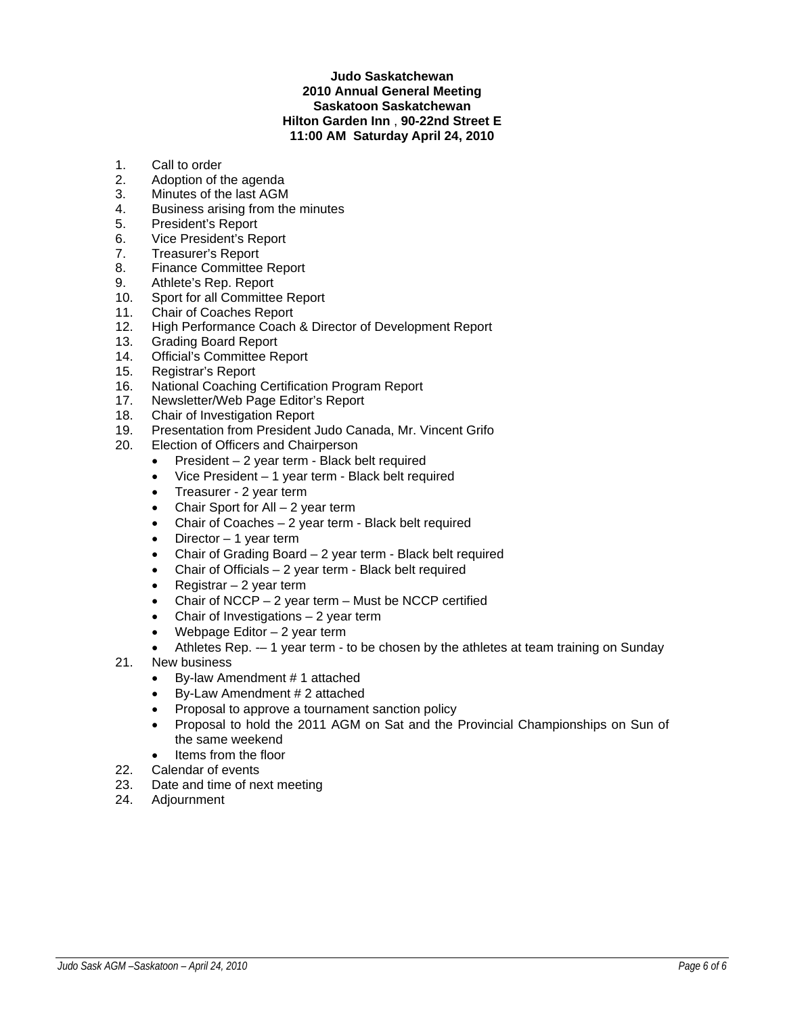# **Judo Saskatchewan 2010 Annual General Meeting Saskatoon Saskatchewan Hilton Garden Inn** , **90-22nd Street E 11:00 AM Saturday April 24, 2010**

- 1. Call to order
- 2. Adoption of the agenda
- 3. Minutes of the last AGM
- 4. Business arising from the minutes
- 5. President's Report
- 6. Vice President's Report
- 7. Treasurer's Report
- 8. Finance Committee Report
- 9. Athlete's Rep. Report
- 10. Sport for all Committee Report
- 11. Chair of Coaches Report
- 12. High Performance Coach & Director of Development Report
- 13. Grading Board Report
- 14. Official's Committee Report
- 15. Registrar's Report
- 16. National Coaching Certification Program Report
- 17. Newsletter/Web Page Editor's Report
- 18. Chair of Investigation Report
- 19. Presentation from President Judo Canada, Mr. Vincent Grifo
- 20. Election of Officers and Chairperson
	- President 2 year term Black belt required
	- Vice President 1 year term Black belt required
	- Treasurer 2 year term
	- Chair Sport for All  $-2$  year term
	- Chair of Coaches 2 year term Black belt required
	- Director  $-1$  year term
	- Chair of Grading Board 2 year term Black belt required
	- Chair of Officials  $-2$  year term Black belt required
	- Registrar  $-2$  year term
	- Chair of  $NCCP 2$  year term Must be  $NCCP$  certified
	- Chair of Investigations  $-2$  year term
	- Webpage Editor  $-2$  year term
	- Athletes Rep. -- 1 year term to be chosen by the athletes at team training on Sunday
- 21. New business
	- By-law Amendment # 1 attached
	- By-Law Amendment # 2 attached
	- Proposal to approve a tournament sanction policy
	- Proposal to hold the 2011 AGM on Sat and the Provincial Championships on Sun of the same weekend
	- Items from the floor
- 22. Calendar of events
- 23. Date and time of next meeting
- 24. Adjournment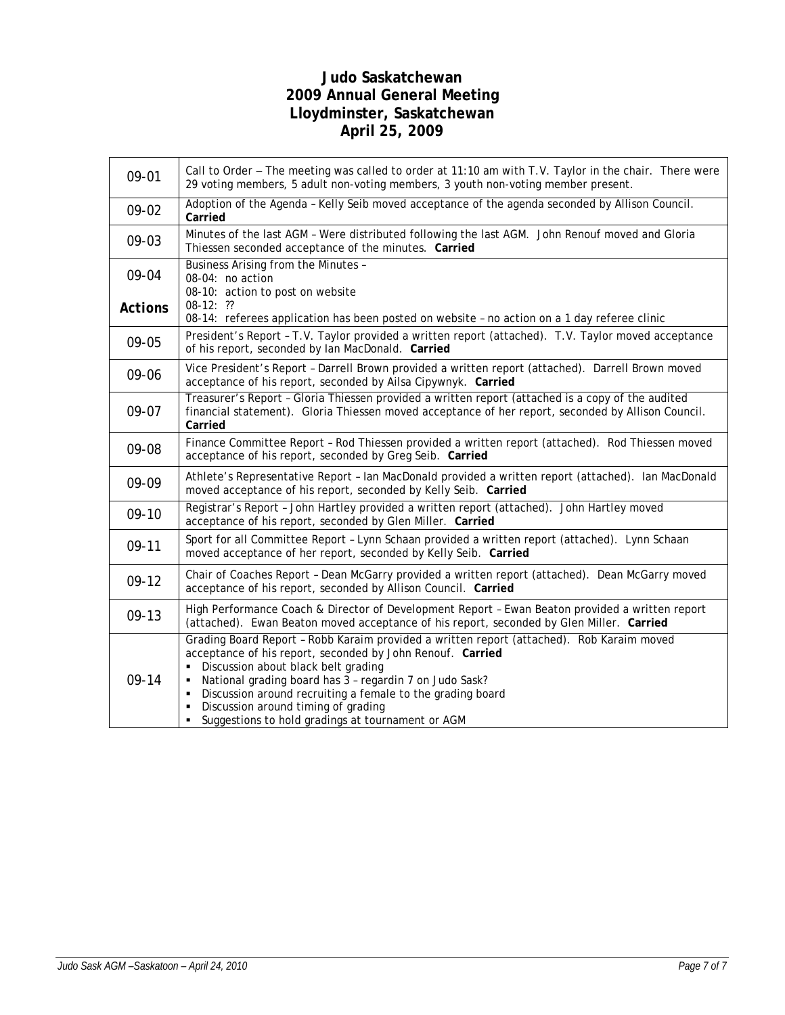# **Judo Saskatchewan 2009 Annual General Meeting Lloydminster, Saskatchewan April 25, 2009**

| 09-01          | Call to Order - The meeting was called to order at 11:10 am with T.V. Taylor in the chair. There were<br>29 voting members, 5 adult non-voting members, 3 youth non-voting member present.                                                                                                                                                                                                                                    |  |  |
|----------------|-------------------------------------------------------------------------------------------------------------------------------------------------------------------------------------------------------------------------------------------------------------------------------------------------------------------------------------------------------------------------------------------------------------------------------|--|--|
| 09-02          | Adoption of the Agenda - Kelly Seib moved acceptance of the agenda seconded by Allison Council.<br>Carried                                                                                                                                                                                                                                                                                                                    |  |  |
| 09-03          | Minutes of the last AGM - Were distributed following the last AGM. John Renouf moved and Gloria<br>Thiessen seconded acceptance of the minutes. Carried                                                                                                                                                                                                                                                                       |  |  |
| 09-04          | Business Arising from the Minutes -<br>08-04: no action<br>08-10: action to post on website                                                                                                                                                                                                                                                                                                                                   |  |  |
| <b>Actions</b> | $08-12:$ ??<br>08-14: referees application has been posted on website - no action on a 1 day referee clinic                                                                                                                                                                                                                                                                                                                   |  |  |
| 09-05          | President's Report - T.V. Taylor provided a written report (attached). T.V. Taylor moved acceptance<br>of his report, seconded by Ian MacDonald. Carried                                                                                                                                                                                                                                                                      |  |  |
| 09-06          | Vice President's Report - Darrell Brown provided a written report (attached). Darrell Brown moved<br>acceptance of his report, seconded by Ailsa Cipywnyk. Carried                                                                                                                                                                                                                                                            |  |  |
| 09-07          | Treasurer's Report - Gloria Thiessen provided a written report (attached is a copy of the audited<br>financial statement). Gloria Thiessen moved acceptance of her report, seconded by Allison Council.<br>Carried                                                                                                                                                                                                            |  |  |
| 09-08          | Finance Committee Report - Rod Thiessen provided a written report (attached). Rod Thiessen moved<br>acceptance of his report, seconded by Greg Seib. Carried                                                                                                                                                                                                                                                                  |  |  |
| 09-09          | Athlete's Representative Report - Ian MacDonald provided a written report (attached). Ian MacDonald<br>moved acceptance of his report, seconded by Kelly Seib. Carried                                                                                                                                                                                                                                                        |  |  |
| $09-10$        | Registrar's Report - John Hartley provided a written report (attached). John Hartley moved<br>acceptance of his report, seconded by Glen Miller. Carried                                                                                                                                                                                                                                                                      |  |  |
| $09-11$        | Sport for all Committee Report - Lynn Schaan provided a written report (attached). Lynn Schaan<br>moved acceptance of her report, seconded by Kelly Seib. Carried                                                                                                                                                                                                                                                             |  |  |
| $09-12$        | Chair of Coaches Report - Dean McGarry provided a written report (attached). Dean McGarry moved<br>acceptance of his report, seconded by Allison Council. Carried                                                                                                                                                                                                                                                             |  |  |
| 09-13          | High Performance Coach & Director of Development Report - Ewan Beaton provided a written report<br>(attached). Ewan Beaton moved acceptance of his report, seconded by Glen Miller. Carried                                                                                                                                                                                                                                   |  |  |
| 09-14          | Grading Board Report - Robb Karaim provided a written report (attached). Rob Karaim moved<br>acceptance of his report, seconded by John Renouf. Carried<br>Discussion about black belt grading<br>National grading board has 3 - regardin 7 on Judo Sask?<br>٠<br>Discussion around recruiting a female to the grading board<br>٠<br>Discussion around timing of grading<br>Suggestions to hold gradings at tournament or AGM |  |  |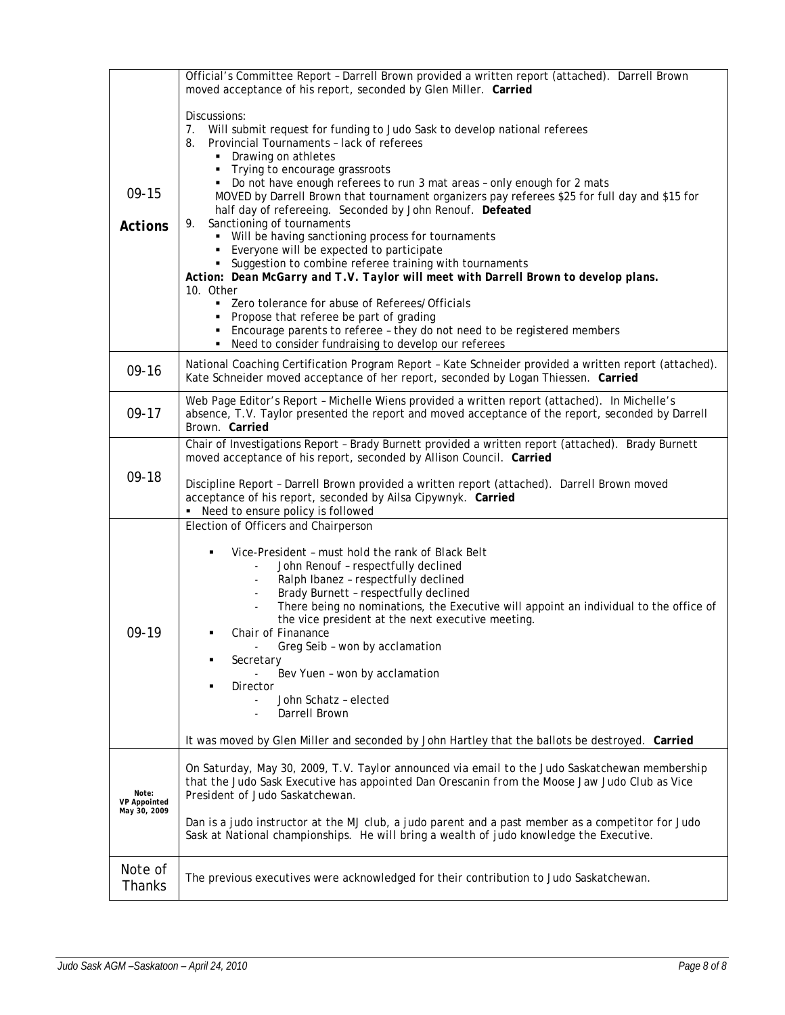|                                              | Official's Committee Report - Darrell Brown provided a written report (attached). Darrell Brown<br>moved acceptance of his report, seconded by Glen Miller. Carried                                                                                                                                                                                                                                                                                                                                                                                                                                                                                                                                                                                                                                                    |  |  |  |
|----------------------------------------------|------------------------------------------------------------------------------------------------------------------------------------------------------------------------------------------------------------------------------------------------------------------------------------------------------------------------------------------------------------------------------------------------------------------------------------------------------------------------------------------------------------------------------------------------------------------------------------------------------------------------------------------------------------------------------------------------------------------------------------------------------------------------------------------------------------------------|--|--|--|
| $09-15$<br><b>Actions</b>                    | Discussions:<br>7. Will submit request for funding to Judo Sask to develop national referees<br>Provincial Tournaments - lack of referees<br>8.<br>• Drawing on athletes<br>• Trying to encourage grassroots<br>• Do not have enough referees to run 3 mat areas - only enough for 2 mats<br>MOVED by Darrell Brown that tournament organizers pay referees \$25 for full day and \$15 for<br>half day of refereeing. Seconded by John Renouf. Defeated<br>Sanctioning of tournaments<br>9.<br>• Will be having sanctioning process for tournaments<br>• Everyone will be expected to participate<br>• Suggestion to combine referee training with tournaments<br>Action: Dean McGarry and T.V. Taylor will meet with Darrell Brown to develop plans.<br>10. Other<br>• Zero tolerance for abuse of Referees/Officials |  |  |  |
|                                              | Propose that referee be part of grading<br>• Encourage parents to referee - they do not need to be registered members<br>• Need to consider fundraising to develop our referees                                                                                                                                                                                                                                                                                                                                                                                                                                                                                                                                                                                                                                        |  |  |  |
| $09-16$                                      | National Coaching Certification Program Report - Kate Schneider provided a written report (attached).<br>Kate Schneider moved acceptance of her report, seconded by Logan Thiessen. Carried                                                                                                                                                                                                                                                                                                                                                                                                                                                                                                                                                                                                                            |  |  |  |
| $09-17$                                      | Web Page Editor's Report - Michelle Wiens provided a written report (attached). In Michelle's<br>absence, T.V. Taylor presented the report and moved acceptance of the report, seconded by Darrell<br>Brown, Carried                                                                                                                                                                                                                                                                                                                                                                                                                                                                                                                                                                                                   |  |  |  |
| $09-18$                                      | Chair of Investigations Report - Brady Burnett provided a written report (attached). Brady Burnett<br>moved acceptance of his report, seconded by Allison Council. Carried<br>Discipline Report - Darrell Brown provided a written report (attached). Darrell Brown moved<br>acceptance of his report, seconded by Ailsa Cipywnyk. Carried<br>Need to ensure policy is followed                                                                                                                                                                                                                                                                                                                                                                                                                                        |  |  |  |
| 09-19                                        | Election of Officers and Chairperson<br>Vice-President - must hold the rank of Black Belt<br>John Renouf - respectfully declined<br>Ralph Ibanez - respectfully declined<br>Brady Burnett - respectfully declined<br>There being no nominations, the Executive will appoint an individual to the office of<br>the vice president at the next executive meeting.<br>Chair of Finanance<br>Greg Seib - won by acclamation<br>Secretary<br>٠<br>Bev Yuen - won by acclamation<br>Director<br>John Schatz - elected<br>Darrell Brown<br>$\overline{\phantom{a}}$<br>It was moved by Glen Miller and seconded by John Hartley that the ballots be destroyed. Carried                                                                                                                                                        |  |  |  |
| Note:<br><b>VP Appointed</b><br>May 30, 2009 | On Saturday, May 30, 2009, T.V. Taylor announced via email to the Judo Saskatchewan membership<br>that the Judo Sask Executive has appointed Dan Orescanin from the Moose Jaw Judo Club as Vice<br>President of Judo Saskatchewan.<br>Dan is a judo instructor at the MJ club, a judo parent and a past member as a competitor for Judo<br>Sask at National championships. He will bring a wealth of judo knowledge the Executive.                                                                                                                                                                                                                                                                                                                                                                                     |  |  |  |
| Note of<br>Thanks                            | The previous executives were acknowledged for their contribution to Judo Saskatchewan.                                                                                                                                                                                                                                                                                                                                                                                                                                                                                                                                                                                                                                                                                                                                 |  |  |  |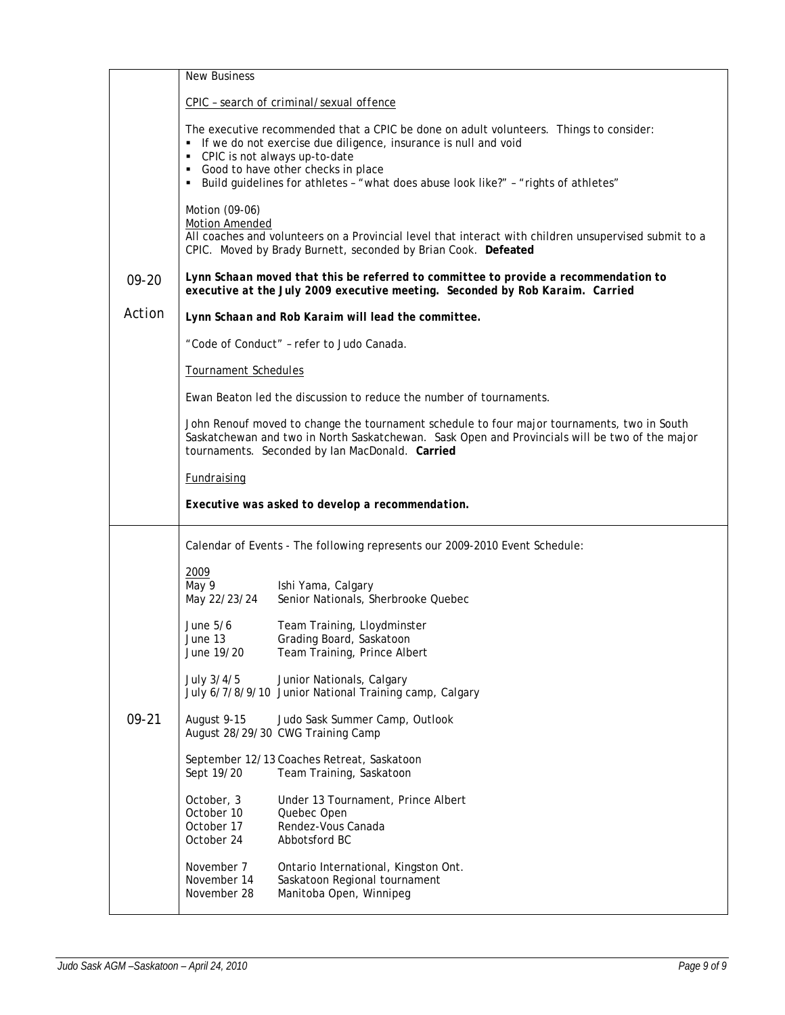|           | <b>New Business</b>                                                                                                                                                                                                                              |                                                                                                                                                                                                                                                                                                                             |  |  |
|-----------|--------------------------------------------------------------------------------------------------------------------------------------------------------------------------------------------------------------------------------------------------|-----------------------------------------------------------------------------------------------------------------------------------------------------------------------------------------------------------------------------------------------------------------------------------------------------------------------------|--|--|
|           |                                                                                                                                                                                                                                                  | CPIC - search of criminal/sexual offence                                                                                                                                                                                                                                                                                    |  |  |
|           | ٠                                                                                                                                                                                                                                                | The executive recommended that a CPIC be done on adult volunteers. Things to consider:<br>• If we do not exercise due diligence, insurance is null and void<br>CPIC is not always up-to-date<br>• Good to have other checks in place<br>Build guidelines for athletes - "what does abuse look like?" - "rights of athletes" |  |  |
|           | Motion (09-06)<br><b>Motion Amended</b>                                                                                                                                                                                                          | All coaches and volunteers on a Provincial level that interact with children unsupervised submit to a<br>CPIC. Moved by Brady Burnett, seconded by Brian Cook. Defeated                                                                                                                                                     |  |  |
| 09-20     | Lynn Schaan moved that this be referred to committee to provide a recommendation to<br>executive at the July 2009 executive meeting. Seconded by Rob Karaim. Carried                                                                             |                                                                                                                                                                                                                                                                                                                             |  |  |
| Action    |                                                                                                                                                                                                                                                  | Lynn Schaan and Rob Karaim will lead the committee.                                                                                                                                                                                                                                                                         |  |  |
|           |                                                                                                                                                                                                                                                  | "Code of Conduct" - refer to Judo Canada.                                                                                                                                                                                                                                                                                   |  |  |
|           | Tournament Schedules                                                                                                                                                                                                                             |                                                                                                                                                                                                                                                                                                                             |  |  |
|           | Ewan Beaton led the discussion to reduce the number of tournaments.                                                                                                                                                                              |                                                                                                                                                                                                                                                                                                                             |  |  |
|           | John Renouf moved to change the tournament schedule to four major tournaments, two in South<br>Saskatchewan and two in North Saskatchewan. Sask Open and Provincials will be two of the major<br>tournaments. Seconded by Ian MacDonald. Carried |                                                                                                                                                                                                                                                                                                                             |  |  |
|           | <b>Fundraising</b>                                                                                                                                                                                                                               |                                                                                                                                                                                                                                                                                                                             |  |  |
|           | Executive was asked to develop a recommendation.                                                                                                                                                                                                 |                                                                                                                                                                                                                                                                                                                             |  |  |
|           | Calendar of Events - The following represents our 2009-2010 Event Schedule:                                                                                                                                                                      |                                                                                                                                                                                                                                                                                                                             |  |  |
|           | 2009<br>May 9<br>May 22/23/24                                                                                                                                                                                                                    | Ishi Yama, Calgary<br>Senior Nationals, Sherbrooke Quebec                                                                                                                                                                                                                                                                   |  |  |
|           | June 5/6<br>June 13<br>June 19/20                                                                                                                                                                                                                | Team Training, Lloydminster<br>Grading Board, Saskatoon<br>Team Training, Prince Albert                                                                                                                                                                                                                                     |  |  |
|           | July 3/4/5                                                                                                                                                                                                                                       | Junior Nationals, Calgary<br>July 6/7/8/9/10 Junior National Training camp, Calgary                                                                                                                                                                                                                                         |  |  |
| $09 - 21$ | August 9-15                                                                                                                                                                                                                                      | Judo Sask Summer Camp, Outlook<br>August 28/29/30 CWG Training Camp                                                                                                                                                                                                                                                         |  |  |
|           | Sept 19/20                                                                                                                                                                                                                                       | September 12/13 Coaches Retreat, Saskatoon<br>Team Training, Saskatoon                                                                                                                                                                                                                                                      |  |  |
|           | October, 3<br>October 10<br>October 17<br>October 24                                                                                                                                                                                             | Under 13 Tournament, Prince Albert<br>Quebec Open<br>Rendez-Vous Canada<br>Abbotsford BC                                                                                                                                                                                                                                    |  |  |
|           | November 7<br>November 14<br>November 28                                                                                                                                                                                                         | Ontario International, Kingston Ont.<br>Saskatoon Regional tournament<br>Manitoba Open, Winnipeg                                                                                                                                                                                                                            |  |  |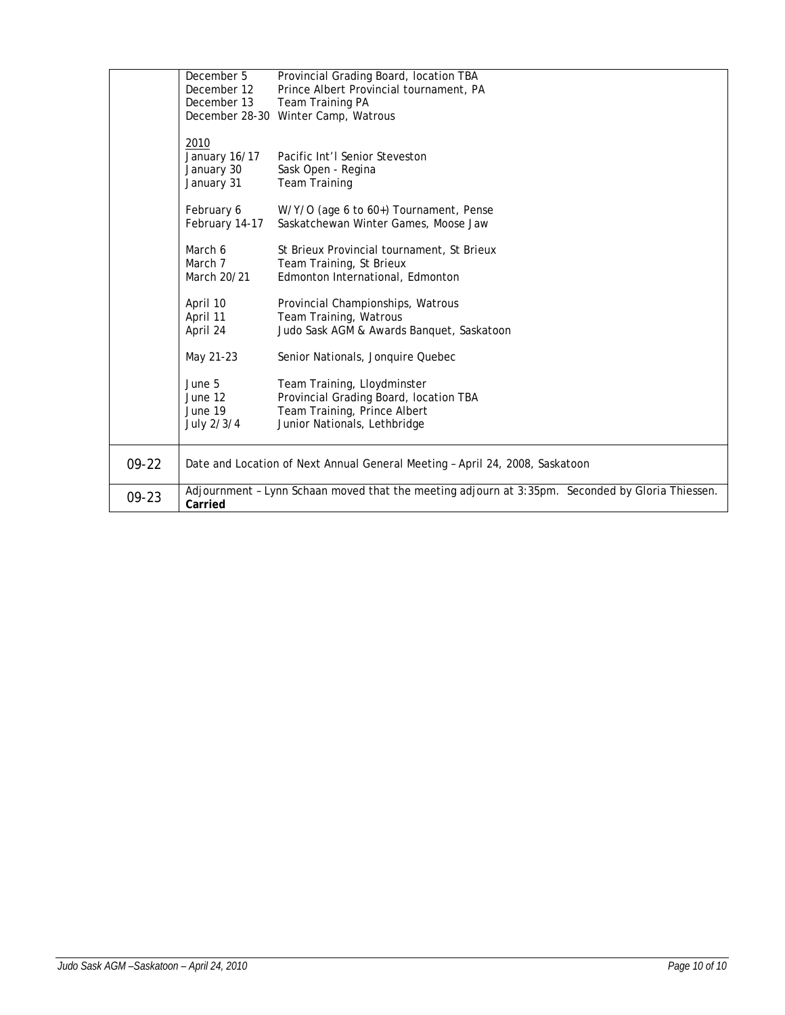| $09-22$<br>$09 - 23$ | Carried                                           | Date and Location of Next Annual General Meeting - April 24, 2008, Saskatoon<br>Adjournment - Lynn Schaan moved that the meeting adjourn at 3:35pm. Seconded by Gloria Thiessen. |
|----------------------|---------------------------------------------------|----------------------------------------------------------------------------------------------------------------------------------------------------------------------------------|
|                      | June 5<br>June 12<br>June 19<br>July 2/3/4        | Team Training, Lloydminster<br>Provincial Grading Board, location TBA<br>Team Training, Prince Albert<br>Junior Nationals, Lethbridge                                            |
|                      | April 10<br>April 11<br>April 24<br>May 21-23     | Provincial Championships, Watrous<br>Team Training, Watrous<br>Judo Sask AGM & Awards Banquet, Saskatoon<br>Senior Nationals, Jonquire Quebec                                    |
|                      | March 6<br>March 7<br>March 20/21                 | St Brieux Provincial tournament, St Brieux<br>Team Training, St Brieux<br>Edmonton International, Edmonton                                                                       |
|                      | February 6<br>February 14-17                      | W/Y/O (age 6 to 60+) Tournament, Pense<br>Saskatchewan Winter Games, Moose Jaw                                                                                                   |
|                      | 2010<br>January 16/17<br>January 30<br>January 31 | Pacific Int'l Senior Steveston<br>Sask Open - Regina<br><b>Team Training</b>                                                                                                     |
|                      | December 5<br>December 12<br>December 13          | Provincial Grading Board, location TBA<br>Prince Albert Provincial tournament, PA<br>Team Training PA<br>December 28-30 Winter Camp, Watrous                                     |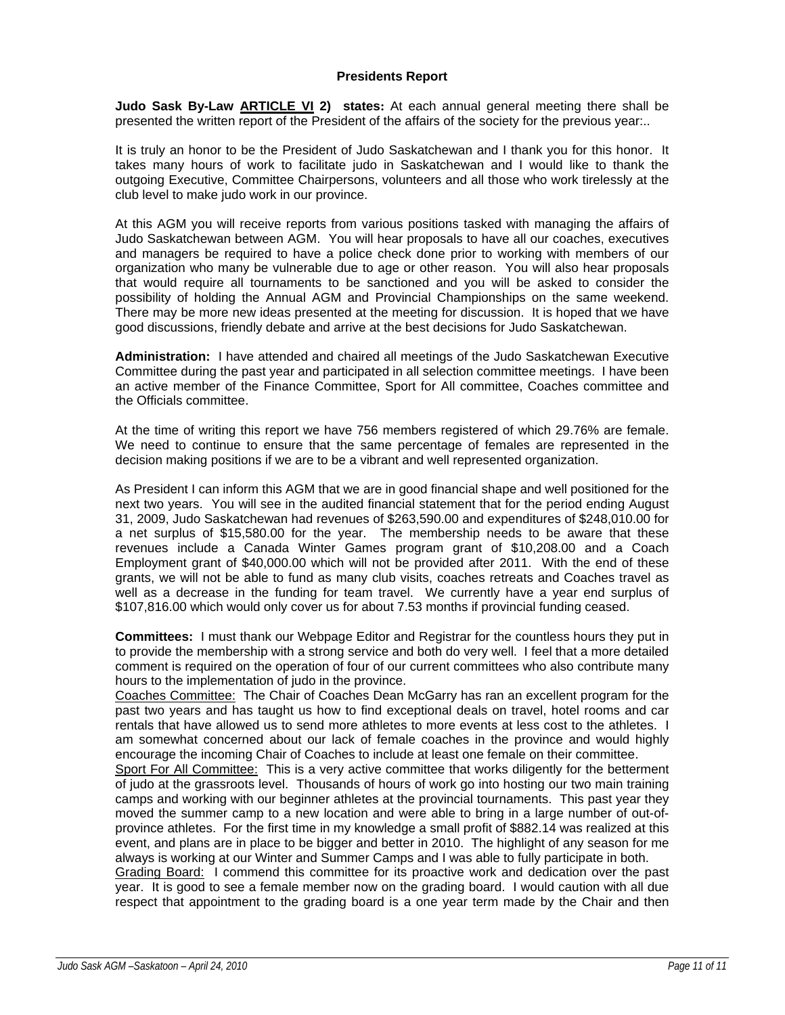# **Presidents Report**

**Judo Sask By-Law ARTICLE VI 2) states:** At each annual general meeting there shall be presented the written report of the President of the affairs of the society for the previous year...

It is truly an honor to be the President of Judo Saskatchewan and I thank you for this honor. It takes many hours of work to facilitate judo in Saskatchewan and I would like to thank the outgoing Executive, Committee Chairpersons, volunteers and all those who work tirelessly at the club level to make judo work in our province.

At this AGM you will receive reports from various positions tasked with managing the affairs of Judo Saskatchewan between AGM. You will hear proposals to have all our coaches, executives and managers be required to have a police check done prior to working with members of our organization who many be vulnerable due to age or other reason. You will also hear proposals that would require all tournaments to be sanctioned and you will be asked to consider the possibility of holding the Annual AGM and Provincial Championships on the same weekend. There may be more new ideas presented at the meeting for discussion. It is hoped that we have good discussions, friendly debate and arrive at the best decisions for Judo Saskatchewan.

**Administration:** I have attended and chaired all meetings of the Judo Saskatchewan Executive Committee during the past year and participated in all selection committee meetings. I have been an active member of the Finance Committee, Sport for All committee, Coaches committee and the Officials committee.

At the time of writing this report we have 756 members registered of which 29.76% are female. We need to continue to ensure that the same percentage of females are represented in the decision making positions if we are to be a vibrant and well represented organization.

As President I can inform this AGM that we are in good financial shape and well positioned for the next two years. You will see in the audited financial statement that for the period ending August 31, 2009, Judo Saskatchewan had revenues of \$263,590.00 and expenditures of \$248,010.00 for a net surplus of \$15,580.00 for the year. The membership needs to be aware that these revenues include a Canada Winter Games program grant of \$10,208.00 and a Coach Employment grant of \$40,000.00 which will not be provided after 2011. With the end of these grants, we will not be able to fund as many club visits, coaches retreats and Coaches travel as well as a decrease in the funding for team travel. We currently have a year end surplus of \$107,816.00 which would only cover us for about 7.53 months if provincial funding ceased.

**Committees:** I must thank our Webpage Editor and Registrar for the countless hours they put in to provide the membership with a strong service and both do very well. I feel that a more detailed comment is required on the operation of four of our current committees who also contribute many hours to the implementation of judo in the province.

Coaches Committee: The Chair of Coaches Dean McGarry has ran an excellent program for the past two years and has taught us how to find exceptional deals on travel, hotel rooms and car rentals that have allowed us to send more athletes to more events at less cost to the athletes. I am somewhat concerned about our lack of female coaches in the province and would highly encourage the incoming Chair of Coaches to include at least one female on their committee.

Sport For All Committee: This is a very active committee that works diligently for the betterment of judo at the grassroots level. Thousands of hours of work go into hosting our two main training camps and working with our beginner athletes at the provincial tournaments. This past year they moved the summer camp to a new location and were able to bring in a large number of out-ofprovince athletes. For the first time in my knowledge a small profit of \$882.14 was realized at this event, and plans are in place to be bigger and better in 2010. The highlight of any season for me always is working at our Winter and Summer Camps and I was able to fully participate in both.

Grading Board: I commend this committee for its proactive work and dedication over the past year. It is good to see a female member now on the grading board. I would caution with all due respect that appointment to the grading board is a one year term made by the Chair and then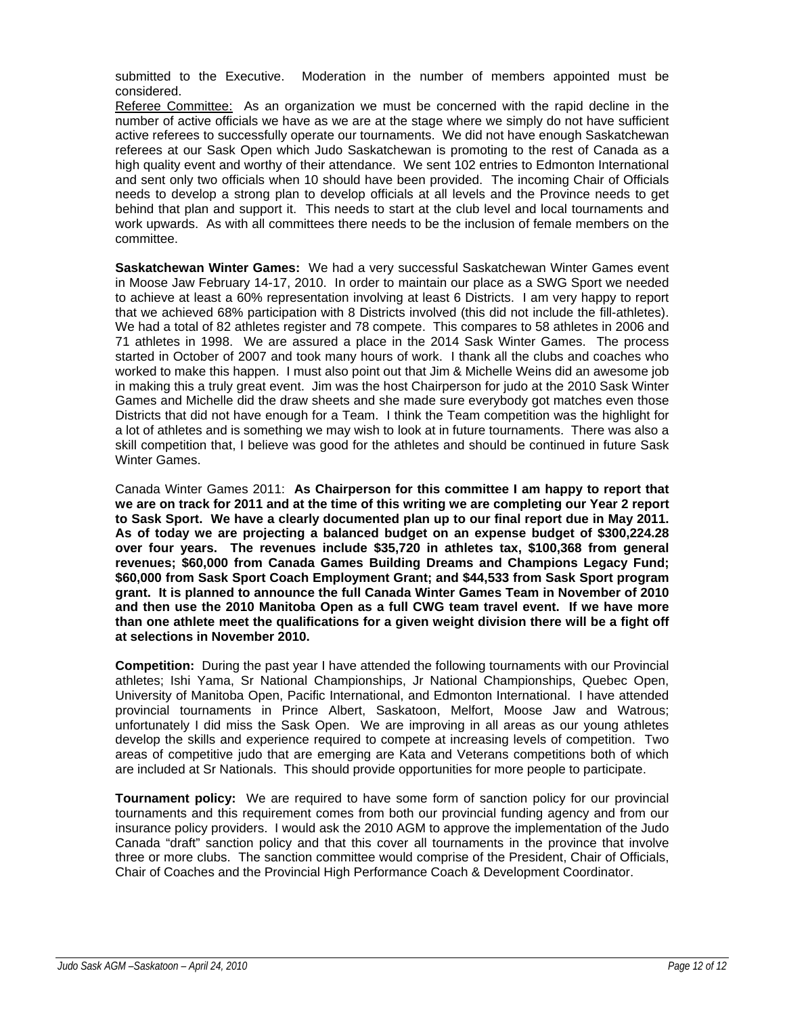submitted to the Executive. Moderation in the number of members appointed must be considered.

Referee Committee: As an organization we must be concerned with the rapid decline in the number of active officials we have as we are at the stage where we simply do not have sufficient active referees to successfully operate our tournaments. We did not have enough Saskatchewan referees at our Sask Open which Judo Saskatchewan is promoting to the rest of Canada as a high quality event and worthy of their attendance. We sent 102 entries to Edmonton International and sent only two officials when 10 should have been provided. The incoming Chair of Officials needs to develop a strong plan to develop officials at all levels and the Province needs to get behind that plan and support it. This needs to start at the club level and local tournaments and work upwards. As with all committees there needs to be the inclusion of female members on the committee.

**Saskatchewan Winter Games:** We had a very successful Saskatchewan Winter Games event in Moose Jaw February 14-17, 2010. In order to maintain our place as a SWG Sport we needed to achieve at least a 60% representation involving at least 6 Districts. I am very happy to report that we achieved 68% participation with 8 Districts involved (this did not include the fill-athletes). We had a total of 82 athletes register and 78 compete. This compares to 58 athletes in 2006 and 71 athletes in 1998. We are assured a place in the 2014 Sask Winter Games. The process started in October of 2007 and took many hours of work. I thank all the clubs and coaches who worked to make this happen. I must also point out that Jim & Michelle Weins did an awesome job in making this a truly great event. Jim was the host Chairperson for judo at the 2010 Sask Winter Games and Michelle did the draw sheets and she made sure everybody got matches even those Districts that did not have enough for a Team. I think the Team competition was the highlight for a lot of athletes and is something we may wish to look at in future tournaments. There was also a skill competition that, I believe was good for the athletes and should be continued in future Sask Winter Games.

Canada Winter Games 2011: **As Chairperson for this committee I am happy to report that we are on track for 2011 and at the time of this writing we are completing our Year 2 report to Sask Sport. We have a clearly documented plan up to our final report due in May 2011. As of today we are projecting a balanced budget on an expense budget of \$300,224.28 over four years. The revenues include \$35,720 in athletes tax, \$100,368 from general revenues; \$60,000 from Canada Games Building Dreams and Champions Legacy Fund; \$60,000 from Sask Sport Coach Employment Grant; and \$44,533 from Sask Sport program grant. It is planned to announce the full Canada Winter Games Team in November of 2010 and then use the 2010 Manitoba Open as a full CWG team travel event. If we have more than one athlete meet the qualifications for a given weight division there will be a fight off at selections in November 2010.**

**Competition:** During the past year I have attended the following tournaments with our Provincial athletes; Ishi Yama, Sr National Championships, Jr National Championships, Quebec Open, University of Manitoba Open, Pacific International, and Edmonton International. I have attended provincial tournaments in Prince Albert, Saskatoon, Melfort, Moose Jaw and Watrous; unfortunately I did miss the Sask Open. We are improving in all areas as our young athletes develop the skills and experience required to compete at increasing levels of competition. Two areas of competitive judo that are emerging are Kata and Veterans competitions both of which are included at Sr Nationals. This should provide opportunities for more people to participate.

**Tournament policy:** We are required to have some form of sanction policy for our provincial tournaments and this requirement comes from both our provincial funding agency and from our insurance policy providers. I would ask the 2010 AGM to approve the implementation of the Judo Canada "draft" sanction policy and that this cover all tournaments in the province that involve three or more clubs. The sanction committee would comprise of the President, Chair of Officials, Chair of Coaches and the Provincial High Performance Coach & Development Coordinator.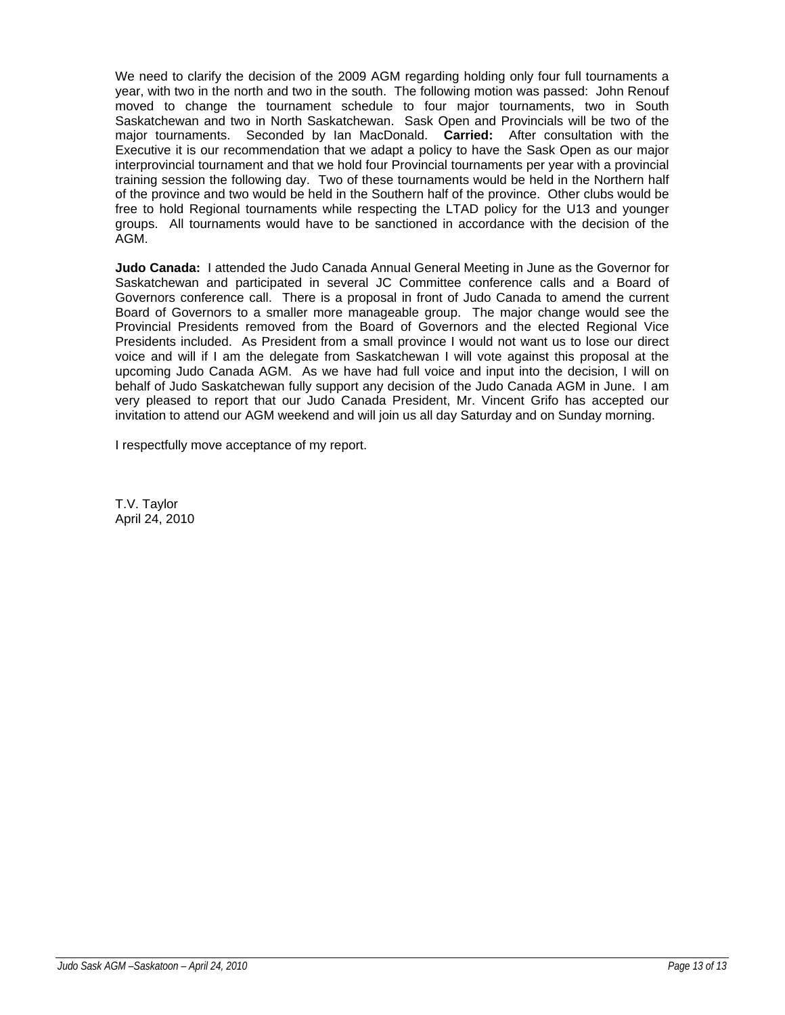We need to clarify the decision of the 2009 AGM regarding holding only four full tournaments a year, with two in the north and two in the south. The following motion was passed: John Renouf moved to change the tournament schedule to four major tournaments, two in South Saskatchewan and two in North Saskatchewan. Sask Open and Provincials will be two of the major tournaments. Seconded by Ian MacDonald. **Carried:** After consultation with the Executive it is our recommendation that we adapt a policy to have the Sask Open as our major interprovincial tournament and that we hold four Provincial tournaments per year with a provincial training session the following day. Two of these tournaments would be held in the Northern half of the province and two would be held in the Southern half of the province. Other clubs would be free to hold Regional tournaments while respecting the LTAD policy for the U13 and younger groups. All tournaments would have to be sanctioned in accordance with the decision of the AGM.

**Judo Canada:** I attended the Judo Canada Annual General Meeting in June as the Governor for Saskatchewan and participated in several JC Committee conference calls and a Board of Governors conference call. There is a proposal in front of Judo Canada to amend the current Board of Governors to a smaller more manageable group. The major change would see the Provincial Presidents removed from the Board of Governors and the elected Regional Vice Presidents included. As President from a small province I would not want us to lose our direct voice and will if I am the delegate from Saskatchewan I will vote against this proposal at the upcoming Judo Canada AGM. As we have had full voice and input into the decision, I will on behalf of Judo Saskatchewan fully support any decision of the Judo Canada AGM in June. I am very pleased to report that our Judo Canada President, Mr. Vincent Grifo has accepted our invitation to attend our AGM weekend and will join us all day Saturday and on Sunday morning.

I respectfully move acceptance of my report.

T.V. Taylor April 24, 2010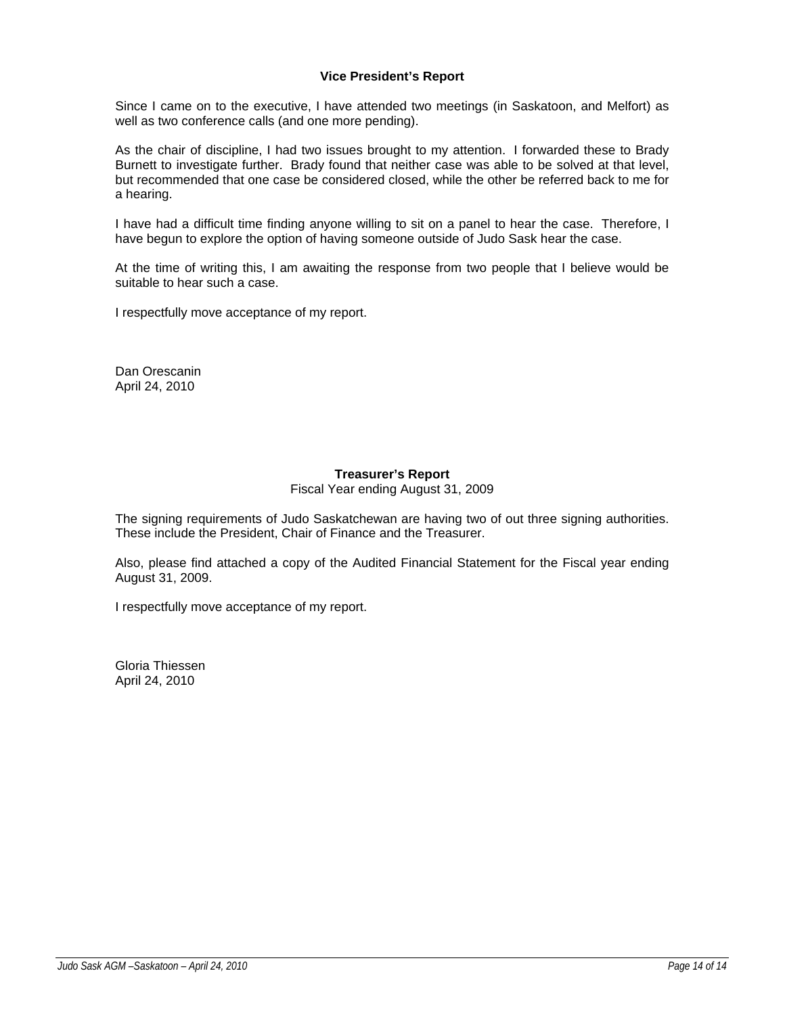# **Vice President's Report**

Since I came on to the executive, I have attended two meetings (in Saskatoon, and Melfort) as well as two conference calls (and one more pending).

As the chair of discipline, I had two issues brought to my attention. I forwarded these to Brady Burnett to investigate further. Brady found that neither case was able to be solved at that level, but recommended that one case be considered closed, while the other be referred back to me for a hearing.

I have had a difficult time finding anyone willing to sit on a panel to hear the case. Therefore, I have begun to explore the option of having someone outside of Judo Sask hear the case.

At the time of writing this, I am awaiting the response from two people that I believe would be suitable to hear such a case.

I respectfully move acceptance of my report.

Dan Orescanin April 24, 2010

# **Treasurer's Report**

Fiscal Year ending August 31, 2009

The signing requirements of Judo Saskatchewan are having two of out three signing authorities. These include the President, Chair of Finance and the Treasurer.

Also, please find attached a copy of the Audited Financial Statement for the Fiscal year ending August 31, 2009.

I respectfully move acceptance of my report.

Gloria Thiessen April 24, 2010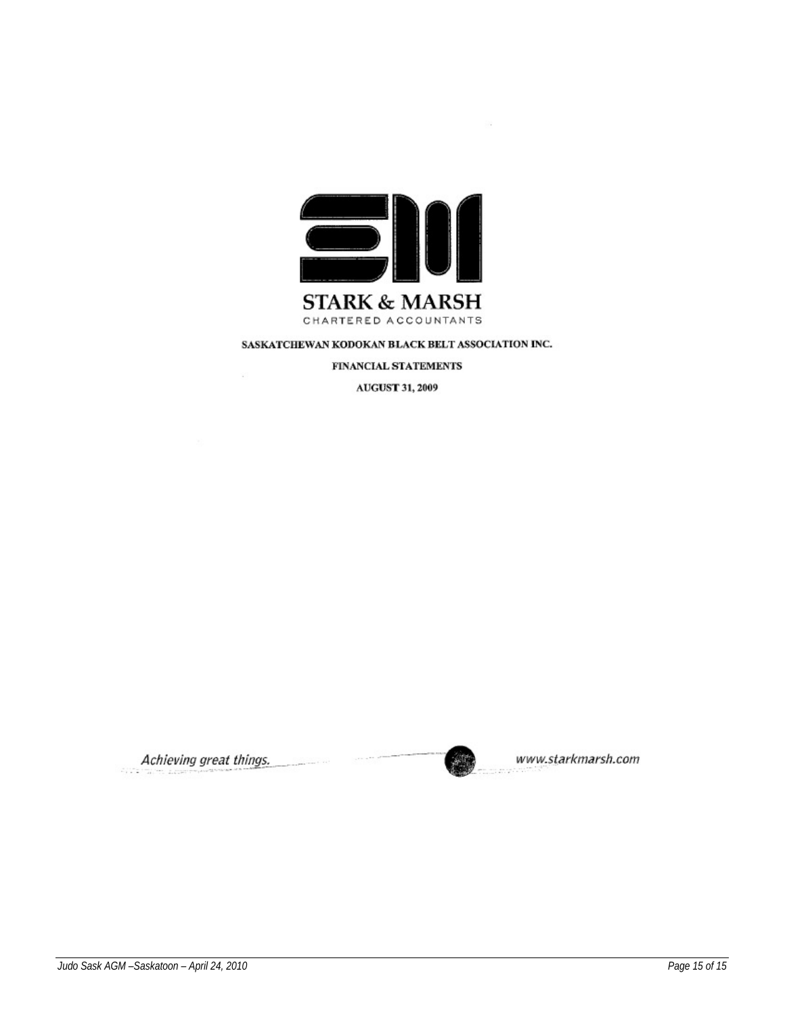

FINANCIAL STATEMENTS

AUGUST 31, 2009

Achieving great things.



www.starkmarsh.com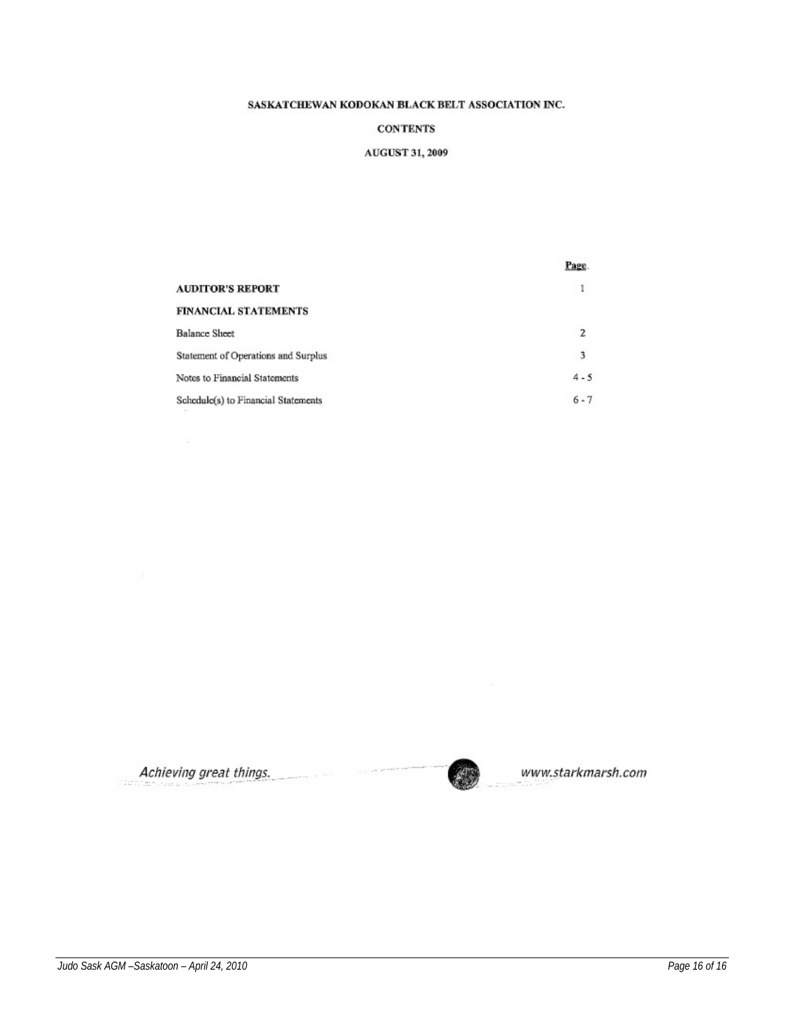#### **CONTENTS**

#### AUGUST 31, 2009

|                                     | Page.   |
|-------------------------------------|---------|
| <b>AUDITOR'S REPORT</b>             | 1       |
| FINANCIAL STATEMENTS                |         |
| <b>Balance Sheet</b>                | 2       |
| Statement of Operations and Surplus | 3       |
| Notes to Financial Statements       | $4 - 5$ |
| Schedule(s) to Financial Statements | $6 - 7$ |

Achieving great things.

www.starkmarsh.com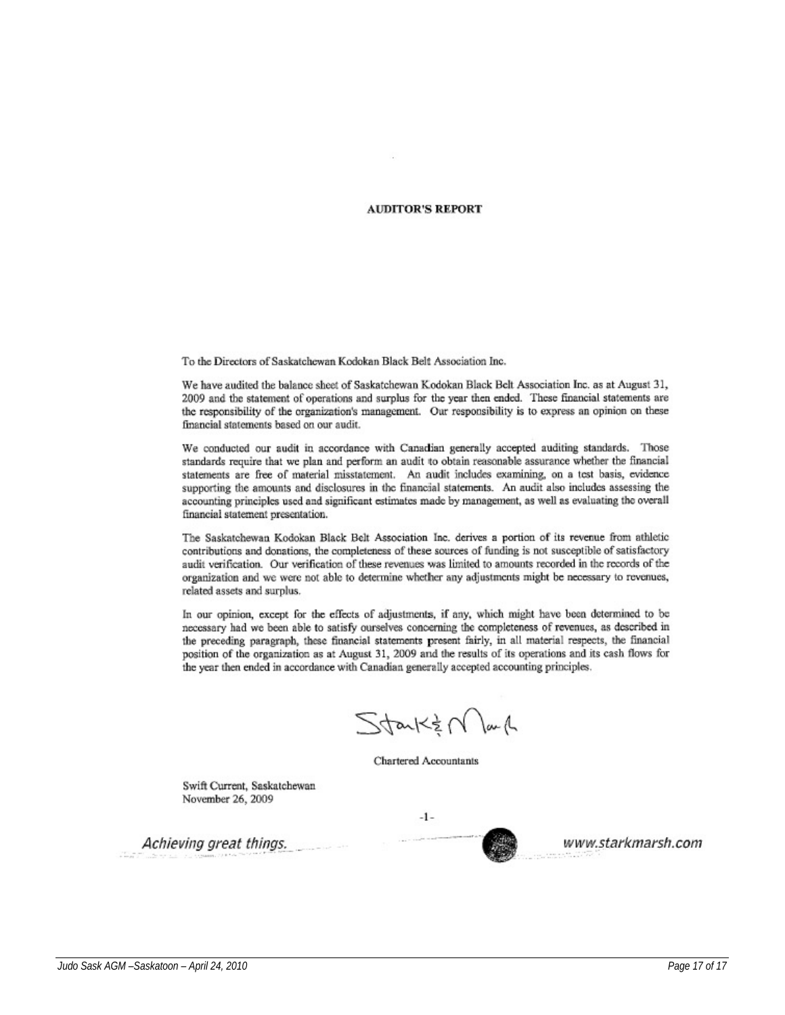#### **AUDITOR'S REPORT**

To the Directors of Saskatchewan Kodokan Black Belt Association Inc.

We have audited the balance sheet of Saskatchewan Kodokan Black Belt Association Inc. as at August 31, 2009 and the statement of operations and surplus for the year then ended. These financial statements are the responsibility of the organization's management. Our responsibility is to express an opinion on these financial statements based on our audit.

We conducted our audit in accordance with Canadian generally accepted auditing standards. Those standards require that we plan and perform an audit to obtain reasonable assurance whether the financial statements are free of material misstatement. An audit includes examining, on a test basis, evidence supporting the amounts and disclosures in the financial statements. An audit also includes assessing the accounting principles used and significant estimates made by management, as well as evaluating the overall financial statement presentation.

The Saskatchewan Kodokan Black Belt Association Inc. derives a portion of its revenue from athletic contributions and donations, the completeness of these sources of funding is not susceptible of satisfactory audit verification. Our verification of these revenues was limited to amounts recorded in the records of the organization and we were not able to determine whether any adjustments might be necessary to revenues, related assets and surplus.

In our opinion, except for the effects of adjustments, if any, which might have been determined to be necessary had we been able to satisfy ourselves concerning the completeness of revenues, as described in the preceding paragraph, these financial statements present fairly, in all material respects, the financial position of the organization as at August 31, 2009 and the results of its operations and its cash flows for the year then ended in accordance with Canadian generally accepted accounting principles.

 $Stank\notin N$ lan $\Lambda$ 

**Chartered Accountants** 

Swift Current, Saskatchewan November 26, 2009

Achieving great things.

 $-1$ www.starkmarsh.com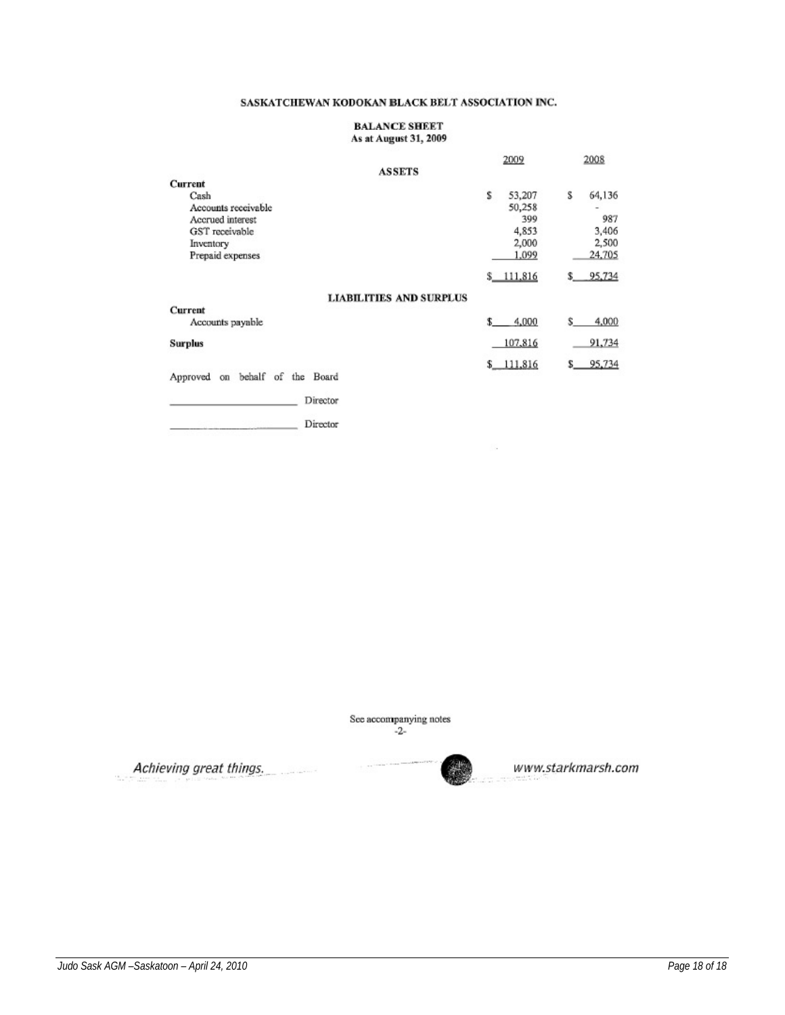#### **BALANCE SHEET** As at August 31, 2009

|                                                | 2009        | 2008          |
|------------------------------------------------|-------------|---------------|
| <b>ASSETS</b>                                  |             |               |
| Current                                        |             |               |
| Cash                                           | s<br>53,207 | S<br>64,136   |
| Accounts receivable                            | 50,258      |               |
| Accrued interest                               | 399         | 987           |
| GST receivable                                 | 4,853       | 3,406         |
| Inventory                                      | 2,000       | 2,500         |
| Prepaid expenses                               | 1,099       | 24,705        |
|                                                | \$111.816   | 95,734<br>\$_ |
| LIABILITIES AND SURPLUS                        |             |               |
| Current                                        |             |               |
| Accounts payable                               | 4,000<br>S  | \$<br>4,000   |
| <b>Surplus</b>                                 | 107,816     | 91,734        |
|                                                | \$111,816   | 95,734<br>s.  |
| of<br>behalf<br>Board<br>the<br>Approved<br>on |             |               |
| Director                                       |             |               |
| Director                                       |             |               |

See accompanying notes  $-2-$ 

Achieving great things. ---------



 $\sim$ 

www.starkmarsh.com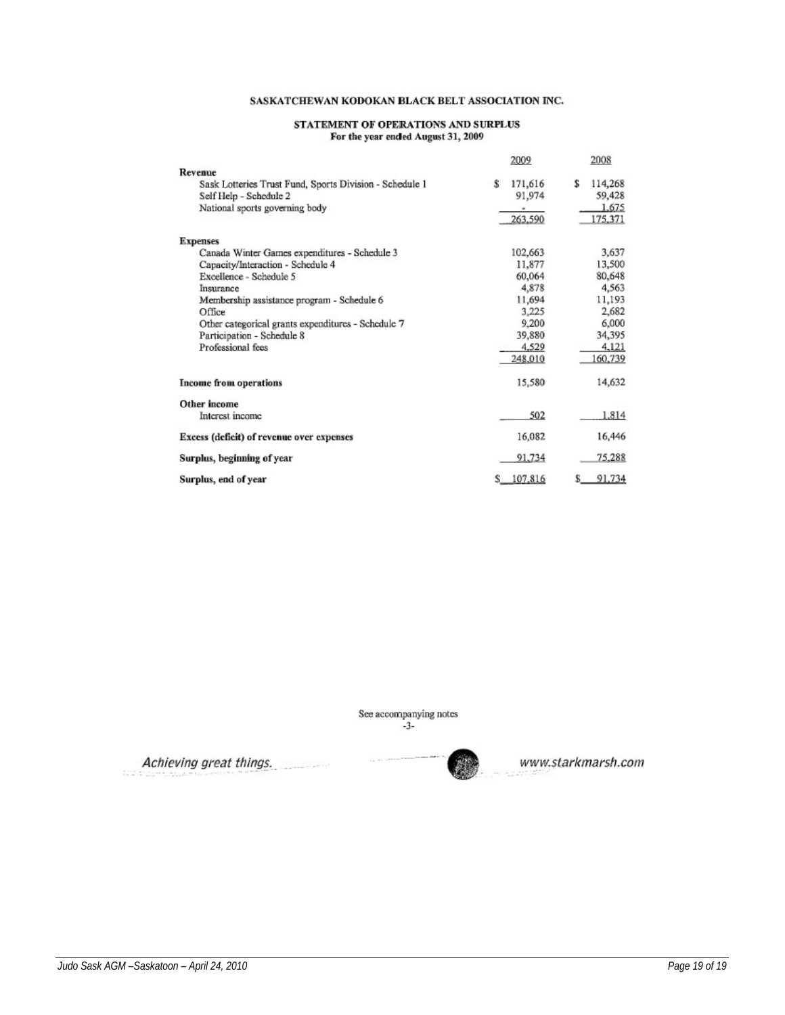#### STATEMENT OF OPERATIONS AND SURPLUS For the year ended August 31, 2009

|                                                         | 2009         | 2008         |
|---------------------------------------------------------|--------------|--------------|
| Revenue                                                 |              |              |
| Sask Lotteries Trust Fund, Sports Division - Schedule 1 | 171,616<br>ŝ | S<br>114,268 |
| Self Help - Schedule 2                                  | 91,974       | 59,428       |
| National sports governing body                          | ۰            | 1,675        |
|                                                         | 263,590      | 175,371      |
| <b>Expenses</b>                                         |              |              |
| Canada Winter Games expenditures - Schedule 3           | 102,663      | 3,637        |
| Capacity/Interaction - Schedule 4                       | 11,877       | 13,500       |
| Excellence - Schedule 5                                 | 60,064       | 80,648       |
| Insurance                                               | 4,878        | 4,563        |
| Membership assistance program - Schedule 6              | 11,694       | 11,193       |
| Office                                                  | 3,225        | 2,682        |
| Other categorical grants expenditures - Schedule 7      | 9,200        | 6,000        |
| Participation - Schedule 8                              | 39,880       | 34,395       |
| Professional fees                                       | 4,529        | 4,121        |
|                                                         | 248,010      | 160,739      |
| <b>Income from operations</b>                           | 15,580       | 14,632       |
| Other income                                            |              |              |
| Interest income                                         | 502          | 1,814        |
| Excess (deficit) of revenue over expenses               | 16,082       | 16,446       |
| Surplus, beginning of year                              | 91,734       | 75,288       |
| Surplus, end of year                                    | 107,816      | 91,734<br>s  |

See accompanying notes  $-3$ -

Achieving great things.



www.starkmarsh.com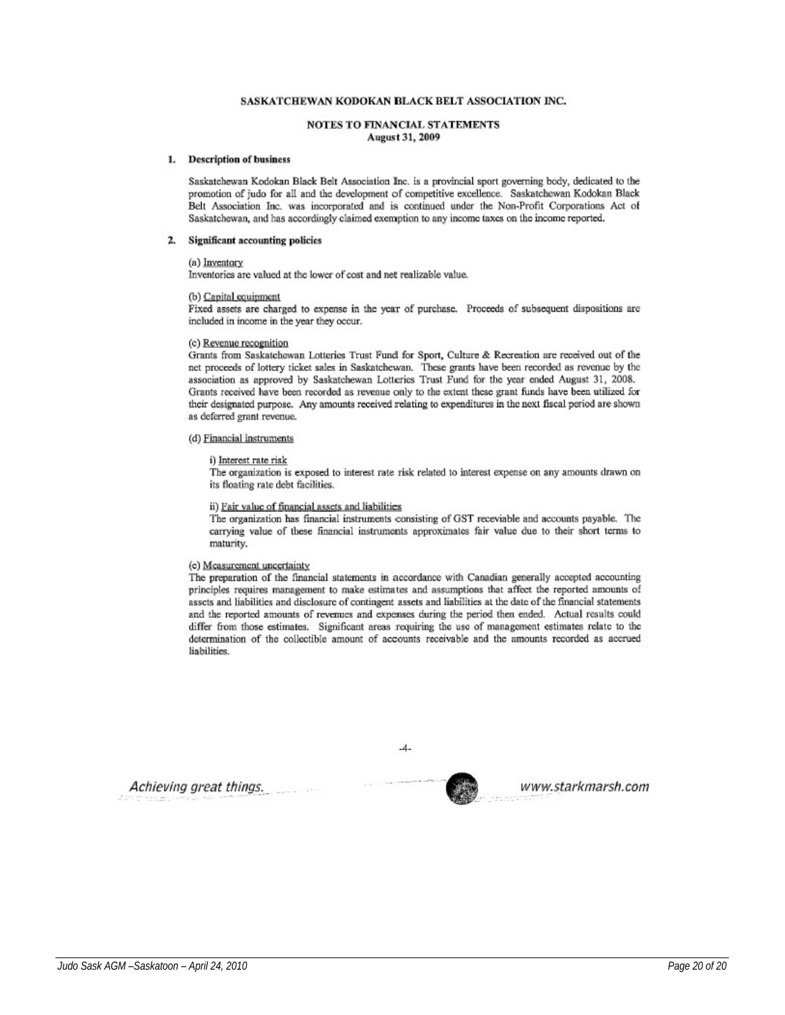#### **NOTES TO FINANCIAL STATEMENTS August 31, 2009**

#### 1. Description of business

Saskatchewan Kodokan Black Belt Association Inc. is a provincial sport governing body, dedicated to the promotion of judo for all and the development of competitive excellence. Saskatchewan Kodokan Black Belt Association Inc. was incorporated and is continued under the Non-Profit Corporations Act of Saskatchewan, and has accordingly claimed exemption to any income taxes on the income reported.

#### 2. Significant accounting policies

#### (a) Inventory

Inventories are valued at the lower of cost and net realizable value.

#### (b) Capital equipment

Fixed assets are charged to expense in the year of purchase. Proceeds of subsequent dispositions are included in income in the year they occur.

#### (c) Revenue recognition

Grants from Saskatchewan Lotteries Trust Fund for Sport, Culture & Recreation are received out of the net proceeds of lottery ticket sales in Saskatchewan. These grants have been recorded as revenue by the association as approved by Saskatchewan Lotteries Trust Fund for the year ended August 31, 2008. Grants received have been recorded as revenue only to the extent these grant funds have been utilized for their designated purpose. Any amounts received relating to expenditures in the next fiscal period are shown as deferred grant revenue.

#### (d) Financial instruments

#### i) Interest rate risk

The organization is exposed to interest rate risk related to interest expense on any amounts drawn on its floating rate debt facilities.

#### ii) Fair value of financial assets and liabilities

The organization has financial instruments consisting of GST receviable and accounts payable. The carrying value of these financial instruments approximates fair value due to their short terms to maturity.

#### (e) Measurement uncertainty

The preparation of the financial statements in accordance with Canadian generally accepted accounting principles requires management to make estimates and assumptions that affect the reported amounts of assets and liabilities and disclosure of contingent assets and liabilities at the date of the financial statements and the reported amounts of revenues and expenses during the period then ended. Actual results could differ from those estimates. Significant areas requiring the use of management estimates relate to the determination of the collectible amount of accounts receivable and the amounts recorded as accrued liabilities.

 $-4-$ 

www.starkmarsh.com

Achieving great things.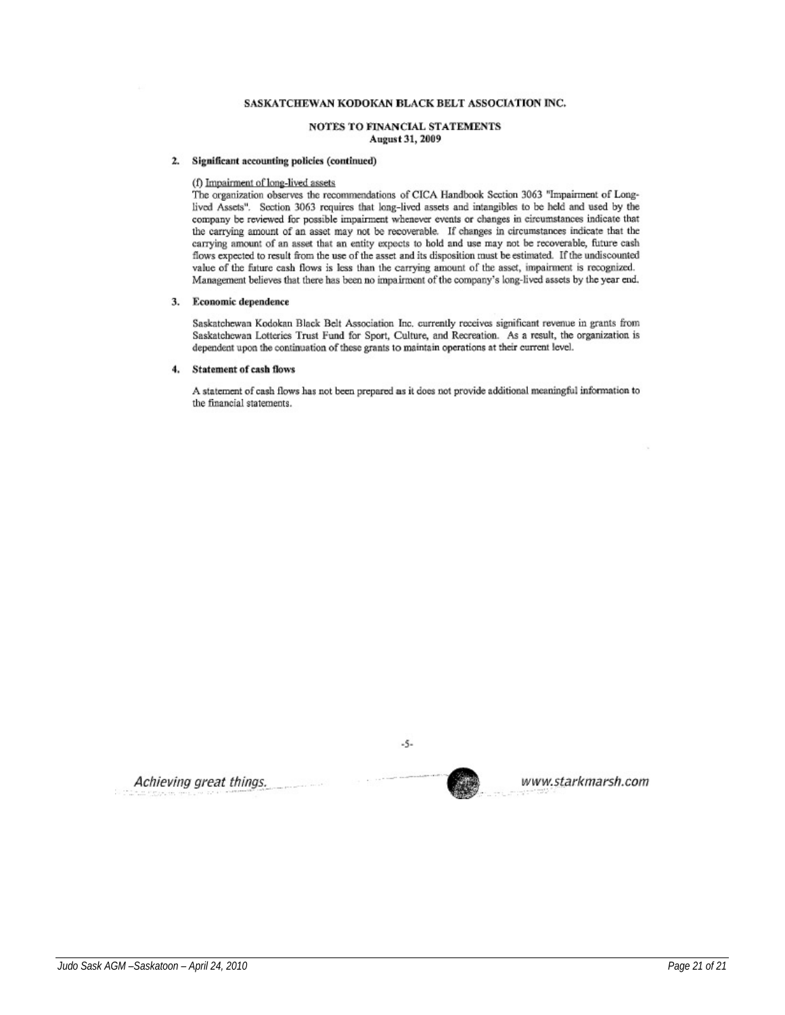#### NOTES TO FINANCIAL STATEMENTS August 31, 2009

#### 2. Significant accounting policies (continued)

#### (f) Impairment of long-lived assets

The organization observes the recommendations of CICA Handbook Section 3063 "Impairment of Longlived Assets". Section 3063 requires that long-lived assets and intangibles to be held and used by the company be reviewed for possible impairment whenever events or changes in circumstances indicate that the carrying amount of an asset may not be recoverable. If changes in circumstances indicate that the carrying amount of an asset that an entity expects to hold and use may not be recoverable, future cash flows expected to result from the use of the asset and its disposition must be estimated. If the undiscounted value of the future cash flows is less than the carrying amount of the asset, impairment is recognized. Management believes that there has been no impairment of the company's long-lived assets by the year end.

#### 3. Economic dependence

Saskatchewan Kodokan Black Belt Association Inc. currently receives significant revenue in grants from Saskatchewan Lotteries Trust Fund for Sport, Culture, and Recreation. As a result, the organization is dependent upon the continuation of these grants to maintain operations at their current level.

#### $4.$ **Statement of cash flows**

A statement of cash flows has not been prepared as it does not provide additional meaningful information to the financial statements.

Achieving great things.



 $-5-$ 

www.starkmarsh.com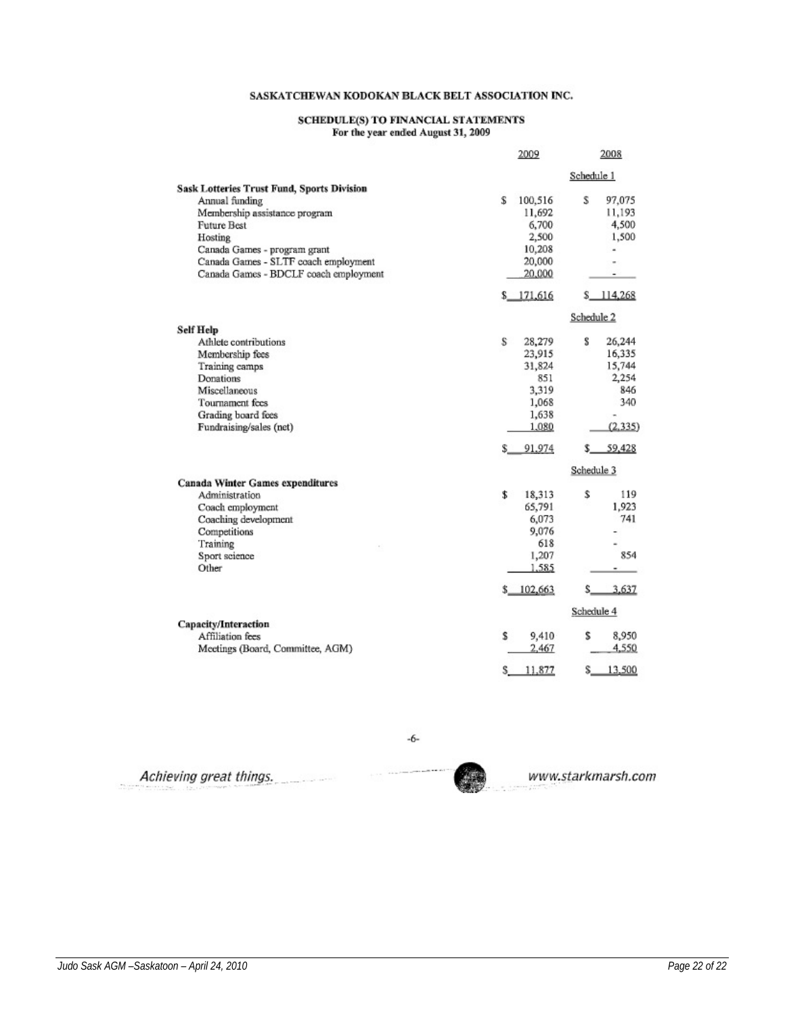# SCHEDULE(S) TO FINANCIAL STATEMENTS<br>For the year ended August 31, 2009

|                                                   | 2009         | 2008         |
|---------------------------------------------------|--------------|--------------|
|                                                   |              | Schedule 1   |
| <b>Sask Lotteries Trust Fund, Sports Division</b> |              |              |
| Annual funding                                    | S<br>100,516 | s<br>97,075  |
| Membership assistance program                     | 11,692       | 11,193       |
| <b>Future Best</b>                                | 6,700        | 4,500        |
| Hosting                                           | 2,500        | 1,500        |
| Canada Games - program grant                      | 10,208       |              |
| Canada Games - SLTF coach employment              | 20,000       |              |
| Canada Games - BDCLF coach employment             | 20,000       |              |
|                                                   | \$171,616    | \$114,268    |
|                                                   |              | Schedule 2   |
| <b>Self Help</b>                                  |              |              |
| Athlete contributions                             | s<br>28,279  | s<br>26,244  |
| Membership fees                                   | 23,915       | 16,335       |
| Training camps                                    | 31,824       | 15,744       |
| Donations                                         | 851          | 2,254        |
| Miscellaneous                                     | 3,319        | 846          |
| Tournament fees                                   | 1,068        | 340          |
| Grading board fees                                | 1,638        |              |
| Fundraising/sales (net)                           | 1,080        | (2.335)      |
|                                                   | 91,974       | 59,428<br>s. |
|                                                   |              | Schedule 3   |
| Canada Winter Games expenditures                  |              |              |
| Administration                                    | \$<br>18,313 | Ŝ<br>119     |
| Coach employment                                  | 65,791       | 1,923        |
| Coaching development                              | 6,073        | 741          |
| Competitions                                      | 9,076        |              |
| Training                                          | 618          |              |
| Sport science                                     | 1,207        | 854          |
| Other                                             | 1,585        | ٠            |
|                                                   | \$102,663    | 3.637<br>s.  |
|                                                   |              | Schedule 4   |
| Capacity/Interaction                              |              |              |
| Affiliation fees                                  | s<br>9,410   | 8,950<br>s   |
| Meetings (Board, Committee, AGM)                  | 2,467        | 4,550        |
|                                                   | Ŝ<br>11,877  | 13,500<br>s  |

Achieving great things.

-6-

www.starkmarsh.com

 $\overline{\phantom{a}}$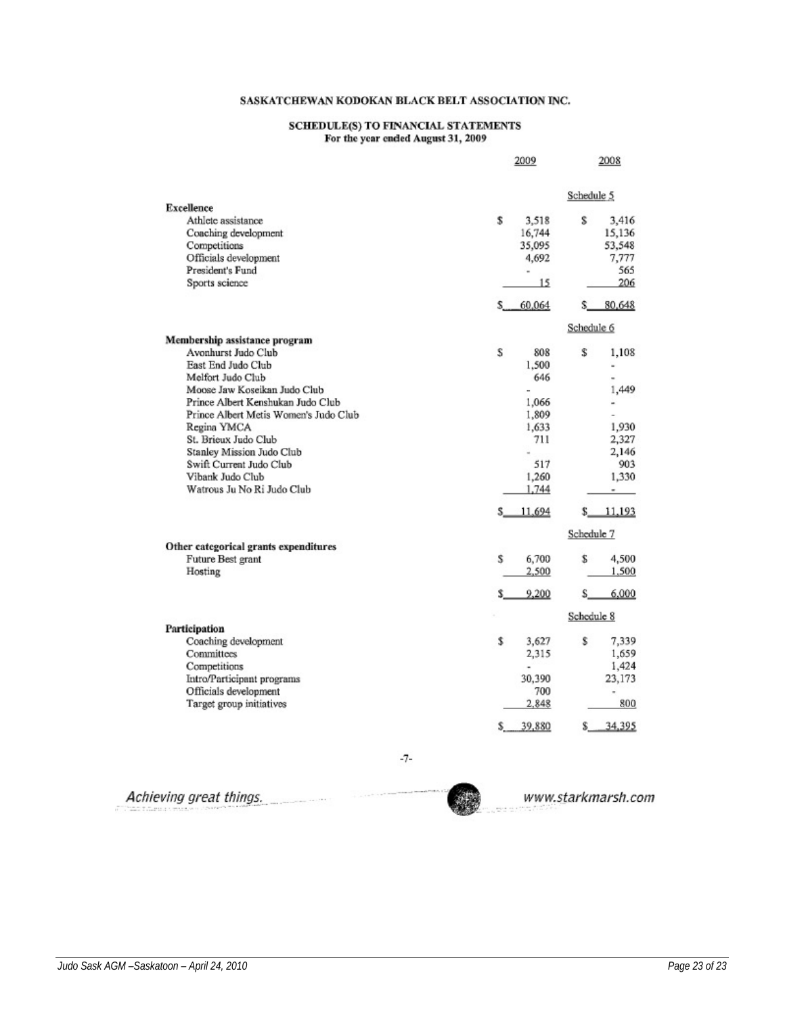# ${\bf SCHEDULE(S)~TO~FINANCIAL~STATEMENTS}$  For the year ended August 31, 2009

|                                       | 2009                     | 2008          |
|---------------------------------------|--------------------------|---------------|
|                                       |                          | Schedule 5    |
| <b>Excellence</b>                     |                          |               |
| Athlete assistance                    | \$<br>3,518              | s<br>3,416    |
| Coaching development                  | 16,744                   | 15,136        |
| Competitions                          | 35,095                   | 53,548        |
| Officials development                 | 4,692                    | 7,777         |
| President's Fund                      | $\overline{\phantom{a}}$ | 565           |
| Sports science                        | 15                       | 206           |
|                                       | \$60,064                 | 80,648<br>s   |
|                                       |                          | Schedule 6    |
| Membership assistance program         |                          |               |
| Avonhurst Judo Club                   | S<br>808                 | s<br>1,108    |
| <b>East End Judo Club</b>             | 1.500                    | L.            |
| Melfort Judo Club                     | 646                      |               |
| Moose Jaw Koseikan Judo Club          |                          | 1,449         |
| Prince Albert Kenshukan Judo Club     | 1,066                    |               |
| Prince Albert Metis Women's Judo Club | 1,809                    |               |
| Regina YMCA                           | 1,633                    | 1,930         |
| St. Brieux Judo Club                  | 711                      | 2,327         |
| Stanley Mission Judo Club             | ü                        | 2,146         |
| Swift Current Judo Club               | 517                      | 903           |
| Vibank Judo Club                      | 1,260                    | 1,330         |
| Watrous Ju No Ri Judo Club            | 1,744                    | ۰             |
|                                       | \$11,694                 | 11,193<br>\$. |
|                                       |                          | Schedule 7    |
| Other categorical grants expenditures |                          |               |
| Future Best grant                     | s<br>6,700               | s<br>4,500    |
| Hosting                               | 2,500                    | 1,500         |
|                                       | 9,200<br>\$.             | 6,000<br>S.   |
|                                       |                          | Schedule 8    |
| Participation                         |                          |               |
| Coaching development                  | \$<br>3,627              | \$<br>7,339   |
| Committees                            | 2,315                    | 1,659         |
| Competitions                          |                          | 1,424         |
| Intro/Participant programs            | 30,390                   | 23,173        |
| Officials development                 | 700                      | ×             |
| Target group initiatives              | 2,848                    | 800           |
|                                       | 39,880<br>S              | 34,395<br>\$. |

 $-7-$ 

 $-44.1783$ 

Achieving great things.

www.starkmarsh.com

*Judo Sask AGM –Saskatoon – April 24, 2010 Page 23 of 23*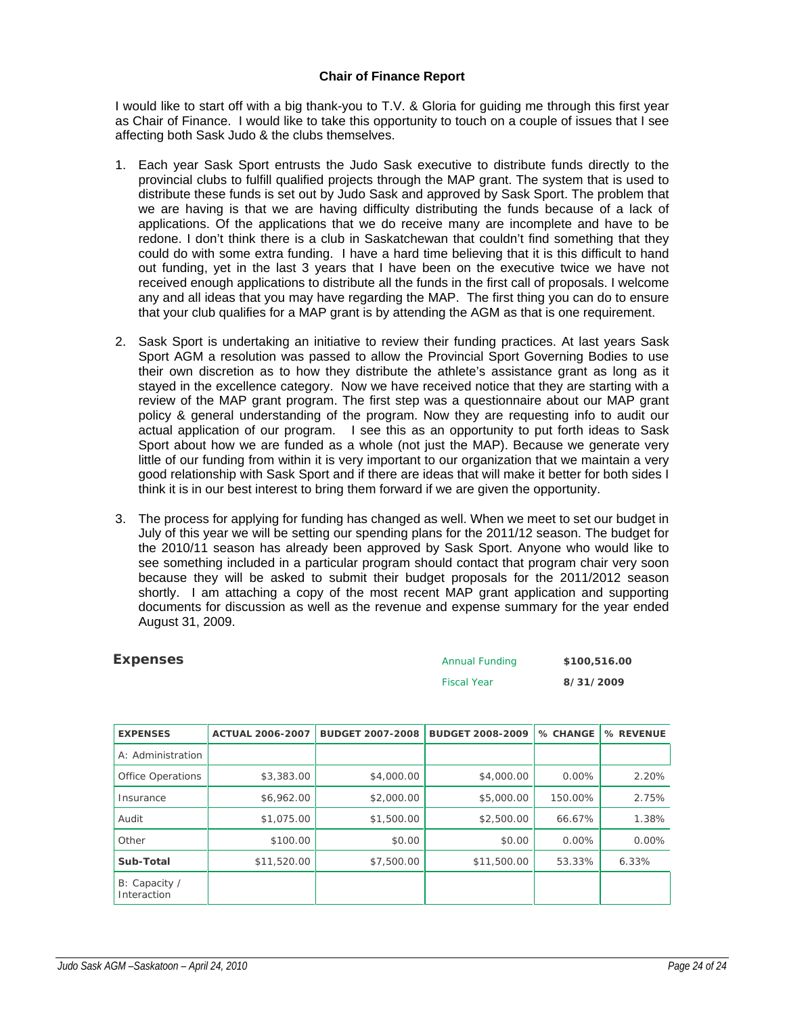# **Chair of Finance Report**

I would like to start off with a big thank-you to T.V. & Gloria for guiding me through this first year as Chair of Finance. I would like to take this opportunity to touch on a couple of issues that I see affecting both Sask Judo & the clubs themselves.

- 1. Each year Sask Sport entrusts the Judo Sask executive to distribute funds directly to the provincial clubs to fulfill qualified projects through the MAP grant. The system that is used to distribute these funds is set out by Judo Sask and approved by Sask Sport. The problem that we are having is that we are having difficulty distributing the funds because of a lack of applications. Of the applications that we do receive many are incomplete and have to be redone. I don't think there is a club in Saskatchewan that couldn't find something that they could do with some extra funding. I have a hard time believing that it is this difficult to hand out funding, yet in the last 3 years that I have been on the executive twice we have not received enough applications to distribute all the funds in the first call of proposals. I welcome any and all ideas that you may have regarding the MAP. The first thing you can do to ensure that your club qualifies for a MAP grant is by attending the AGM as that is one requirement.
- 2. Sask Sport is undertaking an initiative to review their funding practices. At last years Sask Sport AGM a resolution was passed to allow the Provincial Sport Governing Bodies to use their own discretion as to how they distribute the athlete's assistance grant as long as it stayed in the excellence category. Now we have received notice that they are starting with a review of the MAP grant program. The first step was a questionnaire about our MAP grant policy & general understanding of the program. Now they are requesting info to audit our actual application of our program. I see this as an opportunity to put forth ideas to Sask Sport about how we are funded as a whole (not just the MAP). Because we generate very little of our funding from within it is very important to our organization that we maintain a very good relationship with Sask Sport and if there are ideas that will make it better for both sides I think it is in our best interest to bring them forward if we are given the opportunity.
- 3. The process for applying for funding has changed as well. When we meet to set our budget in July of this year we will be setting our spending plans for the 2011/12 season. The budget for the 2010/11 season has already been approved by Sask Sport. Anyone who would like to see something included in a particular program should contact that program chair very soon because they will be asked to submit their budget proposals for the 2011/2012 season shortly. I am attaching a copy of the most recent MAP grant application and supporting documents for discussion as well as the revenue and expense summary for the year ended August 31, 2009.

| <b>Expenses</b>          | <b>Annual Funding</b> |                         | \$100,516.00            |           |           |
|--------------------------|-----------------------|-------------------------|-------------------------|-----------|-----------|
|                          |                       |                         | <b>Fiscal Year</b>      | 8/31/2009 |           |
|                          |                       |                         |                         |           |           |
| <b>EXPENSES</b>          | ACTUAL 2006-2007      | <b>BUDGET 2007-2008</b> | <b>BUDGET 2008-2009</b> | % CHANGE  | % REVENUE |
| A: Administration        |                       |                         |                         |           |           |
| <b>Office Operations</b> | \$3,383.00            | \$4,000.00              | \$4,000.00              | $0.00\%$  | 2.20%     |
| Insurance                | \$6,962.00            | \$2,000.00              | \$5,000.00              | 150.00%   | 2.75%     |
| Audit                    | \$1,075.00            | \$1,500.00              | \$2,500.00              | 66.67%    | 1.38%     |
| Other                    | \$100.00              | \$0.00                  | \$0.00                  | 0.00%     | $0.00\%$  |

**Sub-Total b** \$11,520.00 **611,520.00** \$7,500.00 \$11,500.00 53.33% 6.33%

B: Capacity / Interaction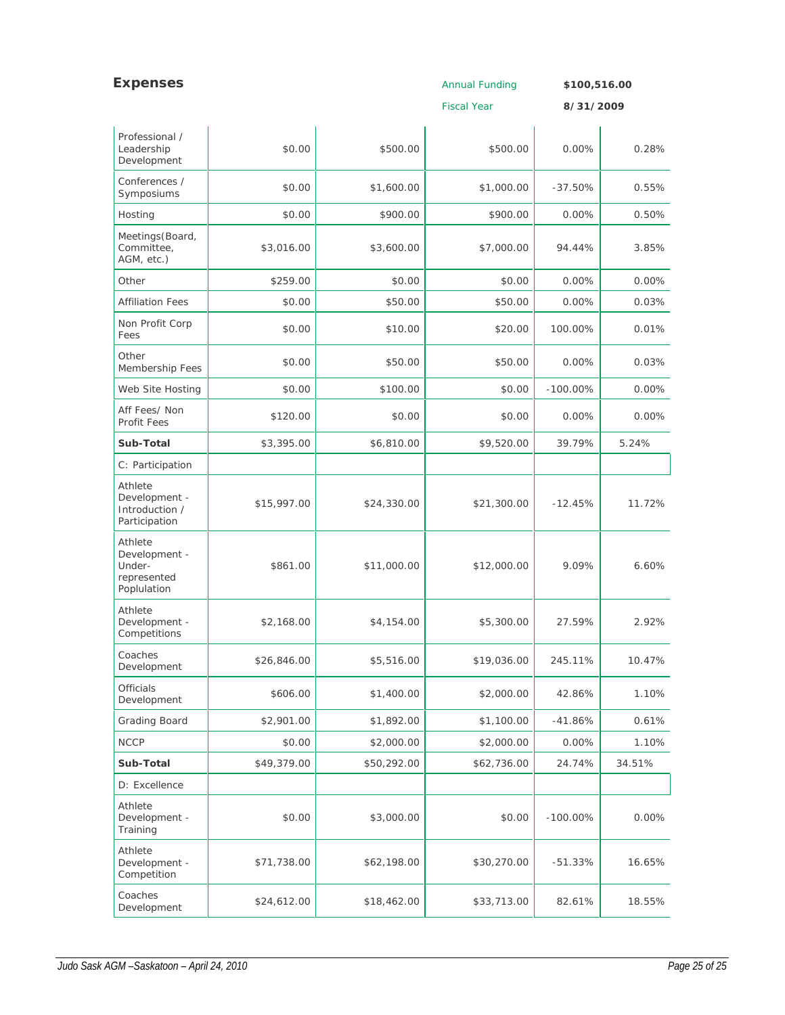| <b>Expenses</b>                                                  |             |             | <b>Annual Funding</b> | \$100,516.00 |          |
|------------------------------------------------------------------|-------------|-------------|-----------------------|--------------|----------|
|                                                                  |             |             | <b>Fiscal Year</b>    | 8/31/2009    |          |
| Professional /<br>Leadership<br>Development                      | \$0.00      | \$500.00    | \$500.00              | 0.00%        | 0.28%    |
| Conferences /<br>Symposiums                                      | \$0.00      | \$1,600.00  | \$1,000.00            | $-37.50%$    | 0.55%    |
| Hosting                                                          | \$0.00      | \$900.00    | \$900.00              | 0.00%        | 0.50%    |
| Meetings (Board,<br>Committee,<br>AGM, etc.)                     | \$3,016.00  | \$3,600.00  | \$7,000.00            | 94.44%       | 3.85%    |
| Other                                                            | \$259.00    | \$0.00      | \$0.00                | 0.00%        | $0.00\%$ |
| <b>Affiliation Fees</b>                                          | \$0.00      | \$50.00     | \$50.00               | $0.00\%$     | 0.03%    |
| Non Profit Corp<br>Fees                                          | \$0.00      | \$10.00     | \$20.00               | 100.00%      | 0.01%    |
| Other<br>Membership Fees                                         | \$0.00      | \$50.00     | \$50.00               | $0.00\%$     | 0.03%    |
| Web Site Hosting                                                 | \$0.00      | \$100.00    | \$0.00                | $-100.00\%$  | $0.00\%$ |
| Aff Fees/ Non<br>Profit Fees                                     | \$120.00    | \$0.00      | \$0.00                | 0.00%        | $0.00\%$ |
| Sub-Total                                                        | \$3,395.00  | \$6,810.00  | \$9,520.00            | 39.79%       | 5.24%    |
| C: Participation                                                 |             |             |                       |              |          |
| Athlete<br>Development -<br>Introduction /<br>Participation      | \$15,997.00 | \$24,330.00 | \$21,300.00           | $-12.45%$    | 11.72%   |
| Athlete<br>Development -<br>Under-<br>represented<br>Poplulation | \$861.00    | \$11,000.00 | \$12,000.00           | 9.09%        | 6.60%    |
| Athlete<br>Development -<br>Competitions                         | \$2,168.00  | \$4,154.00  | \$5,300.00            | 27.59%       | 2.92%    |
| Coaches<br>Development                                           | \$26,846.00 | \$5,516.00  | \$19,036.00           | 245.11%      | 10.47%   |
| <b>Officials</b><br>Development                                  | \$606.00    | \$1,400.00  | \$2,000.00            | 42.86%       | 1.10%    |
| <b>Grading Board</b>                                             | \$2,901.00  | \$1,892.00  | \$1,100.00            | $-41.86%$    | 0.61%    |
| <b>NCCP</b>                                                      | \$0.00      | \$2,000.00  | \$2,000.00            | 0.00%        | 1.10%    |
| Sub-Total                                                        | \$49,379.00 | \$50,292.00 | \$62,736.00           | 24.74%       | 34.51%   |
| D: Excellence                                                    |             |             |                       |              |          |
| Athlete<br>Development -<br>Training                             | \$0.00      | \$3,000.00  | \$0.00                | $-100.00\%$  | $0.00\%$ |
| Athlete<br>Development -<br>Competition                          | \$71,738.00 | \$62,198.00 | \$30,270.00           | $-51.33%$    | 16.65%   |
| Coaches<br>Development                                           | \$24,612.00 | \$18,462.00 | \$33,713.00           | 82.61%       | 18.55%   |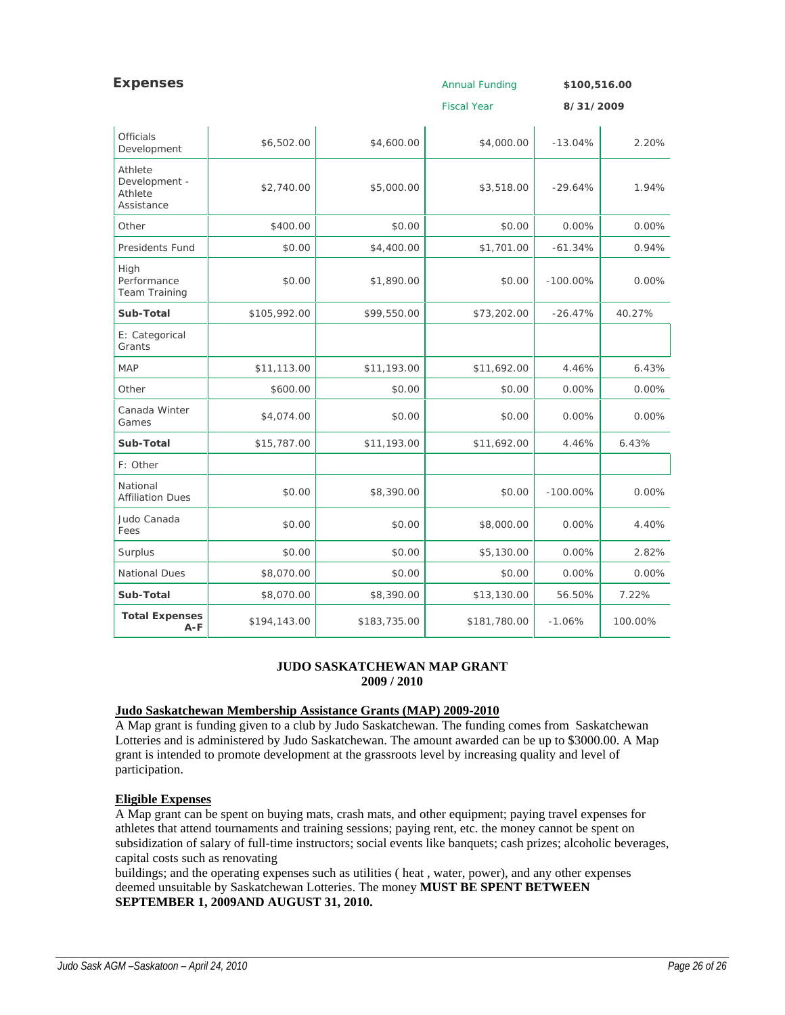| <b>Expenses</b>                                   |              |              | <b>Annual Funding</b> | \$100,516.00 |          |
|---------------------------------------------------|--------------|--------------|-----------------------|--------------|----------|
|                                                   |              |              | <b>Fiscal Year</b>    | 8/31/2009    |          |
| <b>Officials</b><br>Development                   | \$6,502.00   | \$4,600.00   | \$4,000.00            | $-13.04%$    | 2.20%    |
| Athlete<br>Development -<br>Athlete<br>Assistance | \$2,740.00   | \$5,000.00   | \$3,518.00            | $-29.64%$    | 1.94%    |
| Other                                             | \$400.00     | \$0.00       | \$0.00                | 0.00%        | $0.00\%$ |
| <b>Presidents Fund</b>                            | \$0.00       | \$4,400.00   | \$1,701.00            | $-61.34%$    | 0.94%    |
| High<br>Performance<br>Team Training              | \$0.00       | \$1,890.00   | \$0.00                | $-100.00\%$  | $0.00\%$ |
| Sub-Total                                         | \$105,992.00 | \$99,550.00  | \$73,202.00           | $-26.47%$    | 40.27%   |
| E: Categorical<br>Grants                          |              |              |                       |              |          |
| <b>MAP</b>                                        | \$11,113.00  | \$11,193.00  | \$11,692.00           | 4.46%        | 6.43%    |
| Other                                             | \$600.00     | \$0.00       | \$0.00                | 0.00%        | $0.00\%$ |
| Canada Winter<br>Games                            | \$4,074.00   | \$0.00       | \$0.00                | 0.00%        | 0.00%    |
| Sub-Total                                         | \$15,787.00  | \$11,193.00  | \$11,692.00           | 4.46%        | 6.43%    |
| F: Other                                          |              |              |                       |              |          |
| National<br><b>Affiliation Dues</b>               | \$0.00       | \$8,390.00   | \$0.00                | $-100.00\%$  | 0.00%    |
| Judo Canada<br>Fees                               | \$0.00       | \$0.00       | \$8,000.00            | 0.00%        | 4.40%    |
| Surplus                                           | \$0.00       | \$0.00       | \$5,130.00            | 0.00%        | 2.82%    |
| <b>National Dues</b>                              | \$8,070.00   | \$0.00       | \$0.00                | 0.00%        | 0.00%    |
| Sub-Total                                         | \$8,070.00   | \$8,390.00   | \$13,130.00           | 56.50%       | 7.22%    |
| <b>Total Expenses</b><br>$A-F$                    | \$194,143.00 | \$183,735.00 | \$181,780.00          | $-1.06%$     | 100.00%  |

# **JUDO SASKATCHEWAN MAP GRANT 2009 / 2010**

# **Judo Saskatchewan Membership Assistance Grants (MAP) 2009-2010**

A Map grant is funding given to a club by Judo Saskatchewan. The funding comes from Saskatchewan Lotteries and is administered by Judo Saskatchewan. The amount awarded can be up to \$3000.00. A Map grant is intended to promote development at the grassroots level by increasing quality and level of participation.

# **Eligible Expenses**

A Map grant can be spent on buying mats, crash mats, and other equipment; paying travel expenses for athletes that attend tournaments and training sessions; paying rent, etc. the money cannot be spent on subsidization of salary of full-time instructors; social events like banquets; cash prizes; alcoholic beverages, capital costs such as renovating

buildings; and the operating expenses such as utilities ( heat , water, power), and any other expenses deemed unsuitable by Saskatchewan Lotteries. The money **MUST BE SPENT BETWEEN SEPTEMBER 1, 2009AND AUGUST 31, 2010.**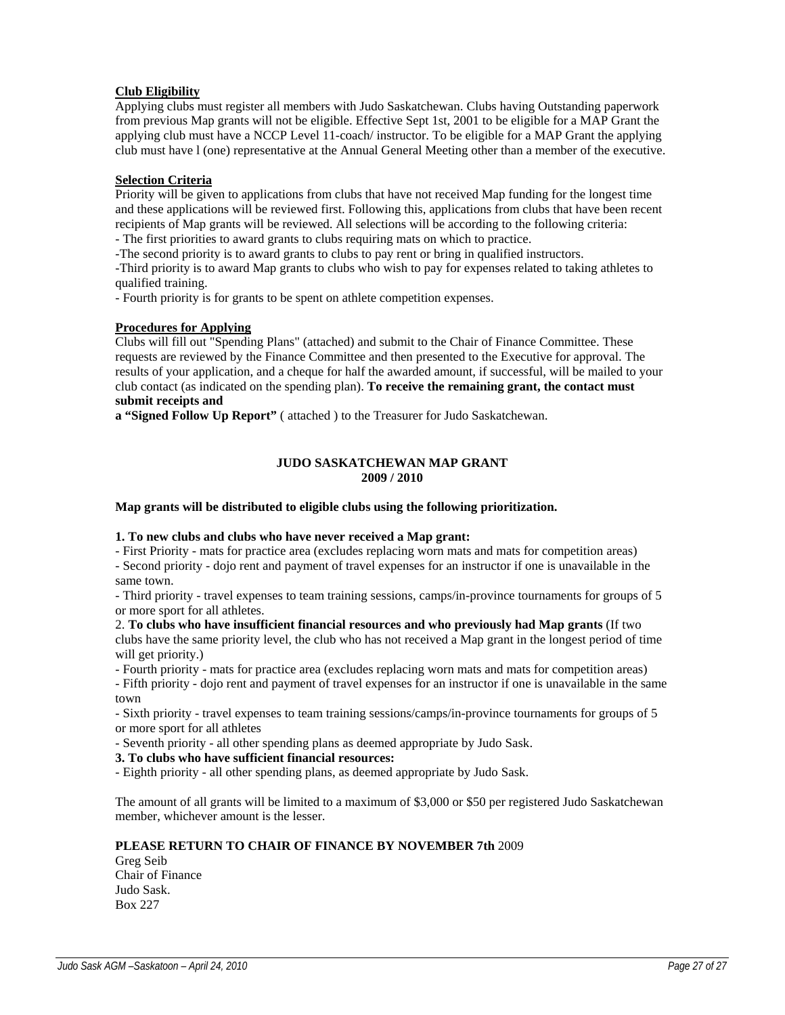# **Club Eligibility**

Applying clubs must register all members with Judo Saskatchewan. Clubs having Outstanding paperwork from previous Map grants will not be eligible. Effective Sept 1st, 2001 to be eligible for a MAP Grant the applying club must have a NCCP Level 11-coach/ instructor. To be eligible for a MAP Grant the applying club must have l (one) representative at the Annual General Meeting other than a member of the executive.

# **Selection Criteria**

Priority will be given to applications from clubs that have not received Map funding for the longest time and these applications will be reviewed first. Following this, applications from clubs that have been recent recipients of Map grants will be reviewed. All selections will be according to the following criteria: - The first priorities to award grants to clubs requiring mats on which to practice.

-The second priority is to award grants to clubs to pay rent or bring in qualified instructors.

-Third priority is to award Map grants to clubs who wish to pay for expenses related to taking athletes to qualified training.

- Fourth priority is for grants to be spent on athlete competition expenses.

# **Procedures for Applying**

Clubs will fill out "Spending Plans" (attached) and submit to the Chair of Finance Committee. These requests are reviewed by the Finance Committee and then presented to the Executive for approval. The results of your application, and a cheque for half the awarded amount, if successful, will be mailed to your club contact (as indicated on the spending plan). **To receive the remaining grant, the contact must submit receipts and** 

**a "Signed Follow Up Report"** ( attached ) to the Treasurer for Judo Saskatchewan.

#### **JUDO SASKATCHEWAN MAP GRANT 2009 / 2010**

## **Map grants will be distributed to eligible clubs using the following prioritization.**

# **1. To new clubs and clubs who have never received a Map grant:**

- First Priority - mats for practice area (excludes replacing worn mats and mats for competition areas)

- Second priority - dojo rent and payment of travel expenses for an instructor if one is unavailable in the same town.

- Third priority - travel expenses to team training sessions, camps/in-province tournaments for groups of 5 or more sport for all athletes.

2. **To clubs who have insufficient financial resources and who previously had Map grants** (If two clubs have the same priority level, the club who has not received a Map grant in the longest period of time will get priority.)

- Fourth priority - mats for practice area (excludes replacing worn mats and mats for competition areas)

- Fifth priority - dojo rent and payment of travel expenses for an instructor if one is unavailable in the same town

- Sixth priority - travel expenses to team training sessions/camps/in-province tournaments for groups of 5 or more sport for all athletes

- Seventh priority - all other spending plans as deemed appropriate by Judo Sask.

# **3. To clubs who have sufficient financial resources:**

- Eighth priority - all other spending plans, as deemed appropriate by Judo Sask.

The amount of all grants will be limited to a maximum of \$3,000 or \$50 per registered Judo Saskatchewan member, whichever amount is the lesser.

# **PLEASE RETURN TO CHAIR OF FINANCE BY NOVEMBER 7th** 2009

Greg Seib Chair of Finance Judo Sask. Box 227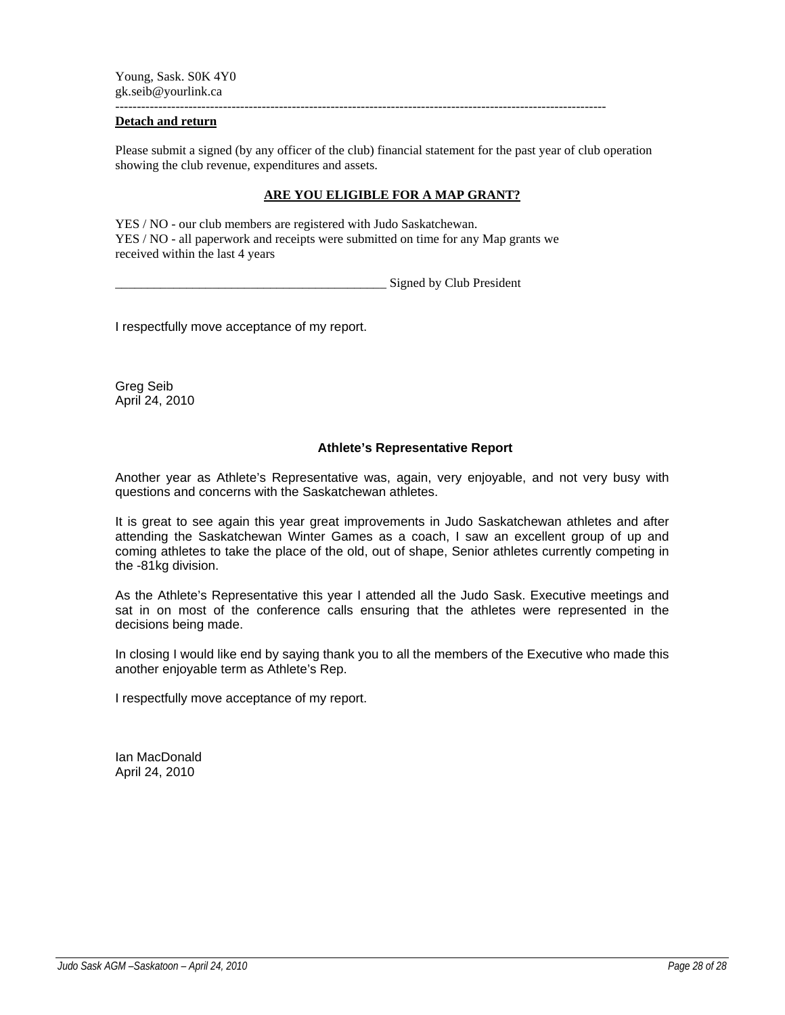Young, Sask. S0K 4Y0 gk.seib@yourlink.ca

------------------------------------------------------------------------------------------------------------------

# **Detach and return**

Please submit a signed (by any officer of the club) financial statement for the past year of club operation showing the club revenue, expenditures and assets.

# **ARE YOU ELIGIBLE FOR A MAP GRANT?**

YES / NO - our club members are registered with Judo Saskatchewan. YES / NO - all paperwork and receipts were submitted on time for any Map grants we received within the last 4 years

Signed by Club President

I respectfully move acceptance of my report.

Greg Seib April 24, 2010

# **Athlete's Representative Report**

Another year as Athlete's Representative was, again, very enjoyable, and not very busy with questions and concerns with the Saskatchewan athletes.

It is great to see again this year great improvements in Judo Saskatchewan athletes and after attending the Saskatchewan Winter Games as a coach, I saw an excellent group of up and coming athletes to take the place of the old, out of shape, Senior athletes currently competing in the -81kg division.

As the Athlete's Representative this year I attended all the Judo Sask. Executive meetings and sat in on most of the conference calls ensuring that the athletes were represented in the decisions being made.

In closing I would like end by saying thank you to all the members of the Executive who made this another enjoyable term as Athlete's Rep.

I respectfully move acceptance of my report.

Ian MacDonald April 24, 2010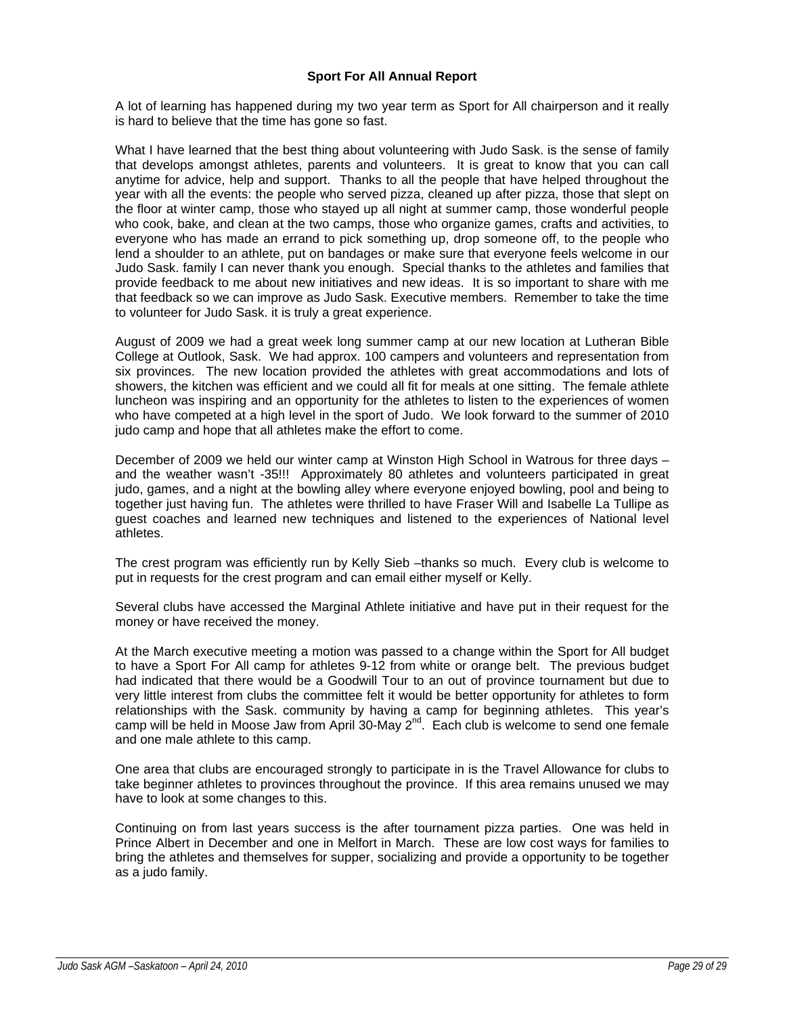# **Sport For All Annual Report**

A lot of learning has happened during my two year term as Sport for All chairperson and it really is hard to believe that the time has gone so fast.

What I have learned that the best thing about volunteering with Judo Sask. is the sense of family that develops amongst athletes, parents and volunteers. It is great to know that you can call anytime for advice, help and support. Thanks to all the people that have helped throughout the year with all the events: the people who served pizza, cleaned up after pizza, those that slept on the floor at winter camp, those who stayed up all night at summer camp, those wonderful people who cook, bake, and clean at the two camps, those who organize games, crafts and activities, to everyone who has made an errand to pick something up, drop someone off, to the people who lend a shoulder to an athlete, put on bandages or make sure that everyone feels welcome in our Judo Sask. family I can never thank you enough. Special thanks to the athletes and families that provide feedback to me about new initiatives and new ideas. It is so important to share with me that feedback so we can improve as Judo Sask. Executive members. Remember to take the time to volunteer for Judo Sask. it is truly a great experience.

August of 2009 we had a great week long summer camp at our new location at Lutheran Bible College at Outlook, Sask. We had approx. 100 campers and volunteers and representation from six provinces. The new location provided the athletes with great accommodations and lots of showers, the kitchen was efficient and we could all fit for meals at one sitting. The female athlete luncheon was inspiring and an opportunity for the athletes to listen to the experiences of women who have competed at a high level in the sport of Judo. We look forward to the summer of 2010 judo camp and hope that all athletes make the effort to come.

December of 2009 we held our winter camp at Winston High School in Watrous for three days – and the weather wasn't -35!!! Approximately 80 athletes and volunteers participated in great judo, games, and a night at the bowling alley where everyone enjoyed bowling, pool and being to together just having fun. The athletes were thrilled to have Fraser Will and Isabelle La Tullipe as guest coaches and learned new techniques and listened to the experiences of National level athletes.

The crest program was efficiently run by Kelly Sieb –thanks so much. Every club is welcome to put in requests for the crest program and can email either myself or Kelly.

Several clubs have accessed the Marginal Athlete initiative and have put in their request for the money or have received the money.

At the March executive meeting a motion was passed to a change within the Sport for All budget to have a Sport For All camp for athletes 9-12 from white or orange belt. The previous budget had indicated that there would be a Goodwill Tour to an out of province tournament but due to very little interest from clubs the committee felt it would be better opportunity for athletes to form relationships with the Sask. community by having a camp for beginning athletes. This year's camp will be held in Moose Jaw from April 30-May  $2^{nd}$ . Each club is welcome to send one female and one male athlete to this camp.

One area that clubs are encouraged strongly to participate in is the Travel Allowance for clubs to take beginner athletes to provinces throughout the province. If this area remains unused we may have to look at some changes to this.

Continuing on from last years success is the after tournament pizza parties. One was held in Prince Albert in December and one in Melfort in March. These are low cost ways for families to bring the athletes and themselves for supper, socializing and provide a opportunity to be together as a judo family.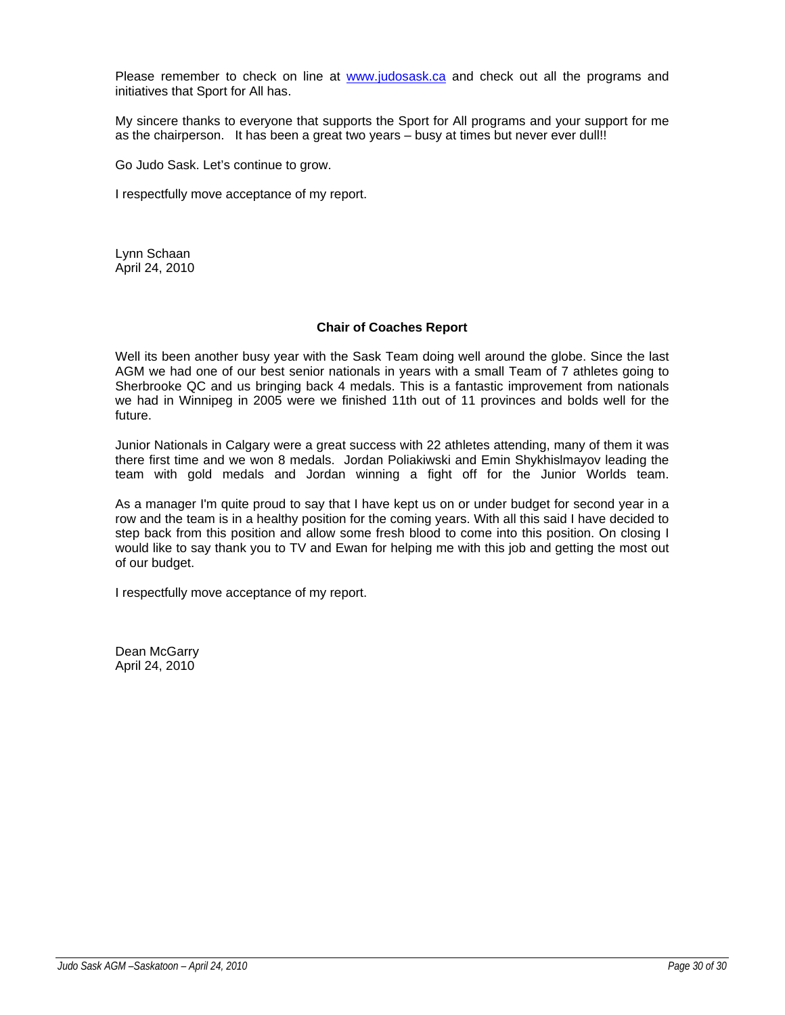Please remember to check on line at www.judosask.ca and check out all the programs and initiatives that Sport for All has.

My sincere thanks to everyone that supports the Sport for All programs and your support for me as the chairperson. It has been a great two years – busy at times but never ever dull!!

Go Judo Sask. Let's continue to grow.

I respectfully move acceptance of my report.

Lynn Schaan April 24, 2010

# **Chair of Coaches Report**

Well its been another busy year with the Sask Team doing well around the globe. Since the last AGM we had one of our best senior nationals in years with a small Team of 7 athletes going to Sherbrooke QC and us bringing back 4 medals. This is a fantastic improvement from nationals we had in Winnipeg in 2005 were we finished 11th out of 11 provinces and bolds well for the future.

Junior Nationals in Calgary were a great success with 22 athletes attending, many of them it was there first time and we won 8 medals. Jordan Poliakiwski and Emin Shykhislmayov leading the team with gold medals and Jordan winning a fight off for the Junior Worlds team.

As a manager I'm quite proud to say that I have kept us on or under budget for second year in a row and the team is in a healthy position for the coming years. With all this said I have decided to step back from this position and allow some fresh blood to come into this position. On closing I would like to say thank you to TV and Ewan for helping me with this job and getting the most out of our budget.

I respectfully move acceptance of my report.

Dean McGarry April 24, 2010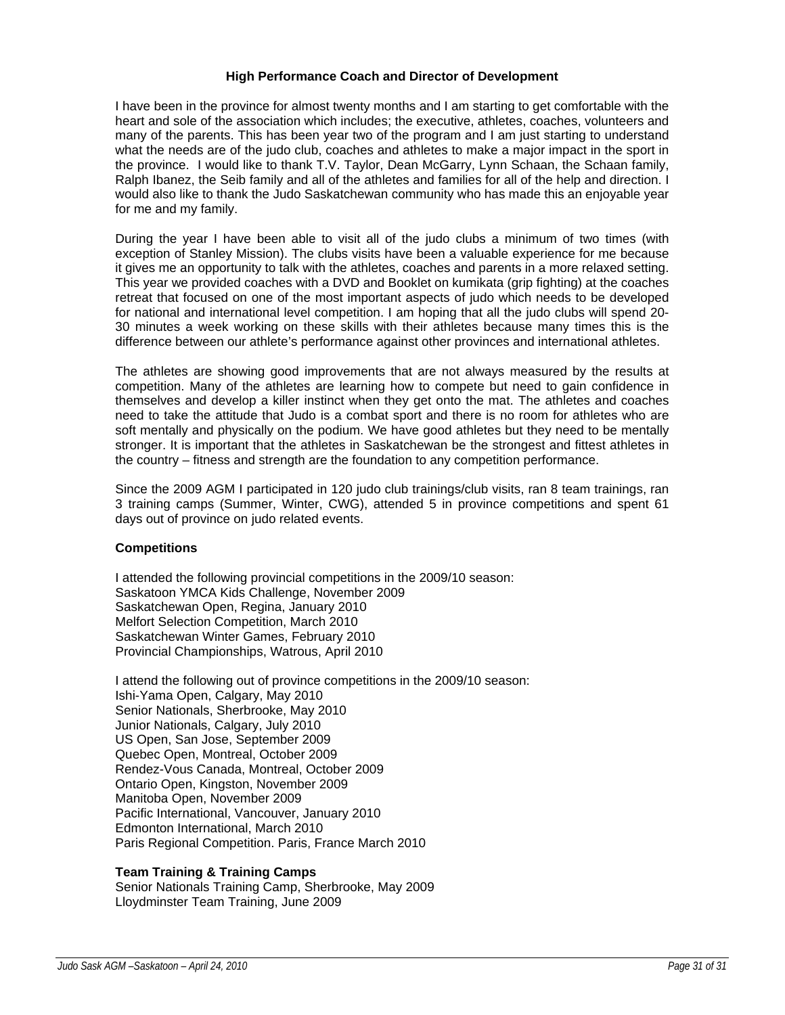# **High Performance Coach and Director of Development**

I have been in the province for almost twenty months and I am starting to get comfortable with the heart and sole of the association which includes; the executive, athletes, coaches, volunteers and many of the parents. This has been year two of the program and I am just starting to understand what the needs are of the judo club, coaches and athletes to make a major impact in the sport in the province. I would like to thank T.V. Taylor, Dean McGarry, Lynn Schaan, the Schaan family, Ralph Ibanez, the Seib family and all of the athletes and families for all of the help and direction. I would also like to thank the Judo Saskatchewan community who has made this an enjoyable year for me and my family.

During the year I have been able to visit all of the judo clubs a minimum of two times (with exception of Stanley Mission). The clubs visits have been a valuable experience for me because it gives me an opportunity to talk with the athletes, coaches and parents in a more relaxed setting. This year we provided coaches with a DVD and Booklet on kumikata (grip fighting) at the coaches retreat that focused on one of the most important aspects of judo which needs to be developed for national and international level competition. I am hoping that all the judo clubs will spend 20- 30 minutes a week working on these skills with their athletes because many times this is the difference between our athlete's performance against other provinces and international athletes.

The athletes are showing good improvements that are not always measured by the results at competition. Many of the athletes are learning how to compete but need to gain confidence in themselves and develop a killer instinct when they get onto the mat. The athletes and coaches need to take the attitude that Judo is a combat sport and there is no room for athletes who are soft mentally and physically on the podium. We have good athletes but they need to be mentally stronger. It is important that the athletes in Saskatchewan be the strongest and fittest athletes in the country – fitness and strength are the foundation to any competition performance.

Since the 2009 AGM I participated in 120 judo club trainings/club visits, ran 8 team trainings, ran 3 training camps (Summer, Winter, CWG), attended 5 in province competitions and spent 61 days out of province on judo related events.

# **Competitions**

I attended the following provincial competitions in the 2009/10 season: Saskatoon YMCA Kids Challenge, November 2009 Saskatchewan Open, Regina, January 2010 Melfort Selection Competition, March 2010 Saskatchewan Winter Games, February 2010 Provincial Championships, Watrous, April 2010

I attend the following out of province competitions in the 2009/10 season: Ishi-Yama Open, Calgary, May 2010 Senior Nationals, Sherbrooke, May 2010 Junior Nationals, Calgary, July 2010 US Open, San Jose, September 2009 Quebec Open, Montreal, October 2009 Rendez-Vous Canada, Montreal, October 2009 Ontario Open, Kingston, November 2009 Manitoba Open, November 2009 Pacific International, Vancouver, January 2010 Edmonton International, March 2010 Paris Regional Competition. Paris, France March 2010

# **Team Training & Training Camps**

Senior Nationals Training Camp, Sherbrooke, May 2009 Lloydminster Team Training, June 2009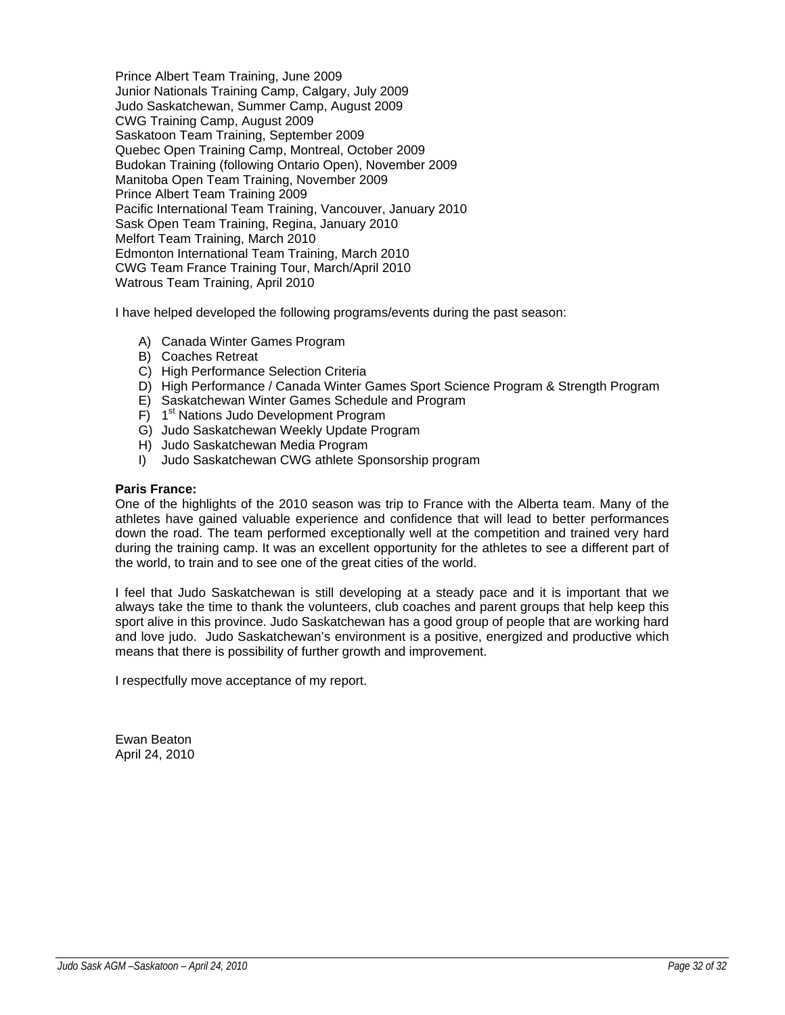Prince Albert Team Training, June 2009 Junior Nationals Training Camp, Calgary, July 2009 Judo Saskatchewan, Summer Camp, August 2009 CWG Training Camp, August 2009 Saskatoon Team Training, September 2009 Quebec Open Training Camp, Montreal, October 2009 Budokan Training (following Ontario Open), November 2009 Manitoba Open Team Training, November 2009 Prince Albert Team Training 2009 Pacific International Team Training, Vancouver, January 2010 Sask Open Team Training, Regina, January 2010 Melfort Team Training, March 2010 Edmonton International Team Training, March 2010 CWG Team France Training Tour, March/April 2010 Watrous Team Training, April 2010

I have helped developed the following programs/events during the past season:

- A) Canada Winter Games Program
- B) Coaches Retreat
- C) High Performance Selection Criteria
- D) High Performance / Canada Winter Games Sport Science Program & Strength Program
- E) Saskatchewan Winter Games Schedule and Program
- F) 1<sup>st</sup> Nations Judo Development Program
- G) Judo Saskatchewan Weekly Update Program
- H) Judo Saskatchewan Media Program
- I) Judo Saskatchewan CWG athlete Sponsorship program

# **Paris France:**

One of the highlights of the 2010 season was trip to France with the Alberta team. Many of the athletes have gained valuable experience and confidence that will lead to better performances down the road. The team performed exceptionally well at the competition and trained very hard during the training camp. It was an excellent opportunity for the athletes to see a different part of the world, to train and to see one of the great cities of the world.

I feel that Judo Saskatchewan is still developing at a steady pace and it is important that we always take the time to thank the volunteers, club coaches and parent groups that help keep this sport alive in this province. Judo Saskatchewan has a good group of people that are working hard and love judo. Judo Saskatchewan's environment is a positive, energized and productive which means that there is possibility of further growth and improvement.

I respectfully move acceptance of my report.

Ewan Beaton April 24, 2010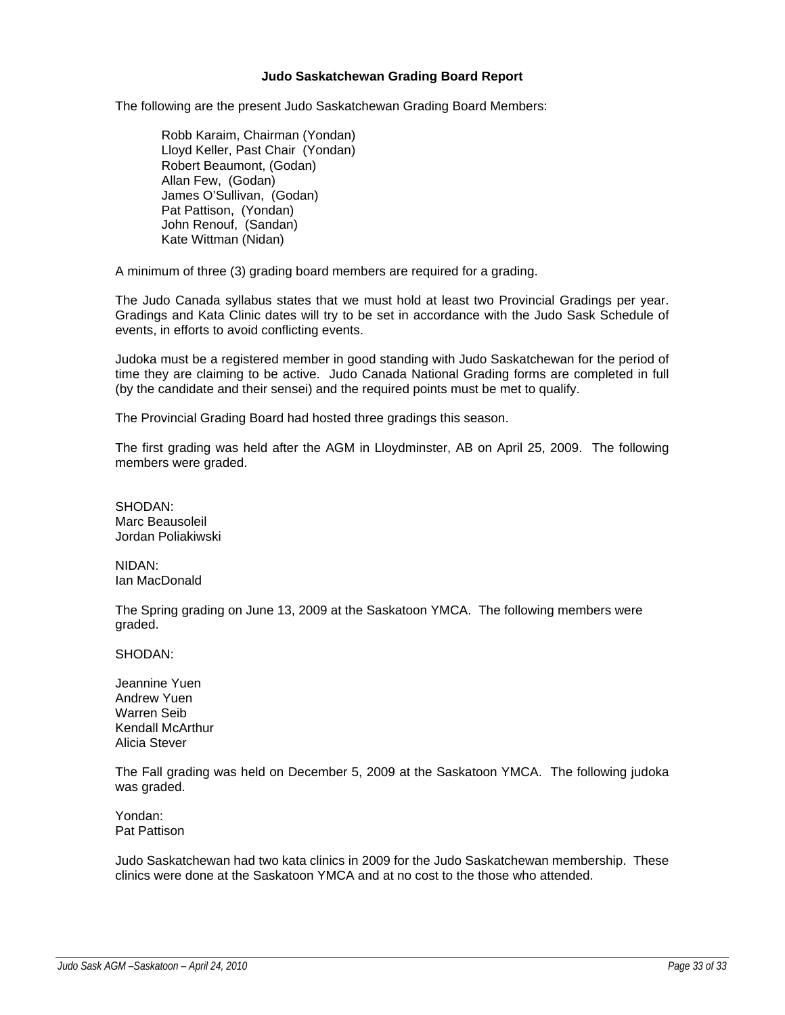## **Judo Saskatchewan Grading Board Report**

The following are the present Judo Saskatchewan Grading Board Members:

Robb Karaim, Chairman (Yondan) Lloyd Keller, Past Chair (Yondan) Robert Beaumont, (Godan) Allan Few, (Godan) James O'Sullivan, (Godan) Pat Pattison, (Yondan) John Renouf, (Sandan) Kate Wittman (Nidan)

A minimum of three (3) grading board members are required for a grading.

The Judo Canada syllabus states that we must hold at least two Provincial Gradings per year. Gradings and Kata Clinic dates will try to be set in accordance with the Judo Sask Schedule of events, in efforts to avoid conflicting events.

Judoka must be a registered member in good standing with Judo Saskatchewan for the period of time they are claiming to be active. Judo Canada National Grading forms are completed in full (by the candidate and their sensei) and the required points must be met to qualify.

The Provincial Grading Board had hosted three gradings this season.

The first grading was held after the AGM in Lloydminster, AB on April 25, 2009. The following members were graded.

SHODAN: Marc Beausoleil Jordan Poliakiwski

NIDAN: Ian MacDonald

The Spring grading on June 13, 2009 at the Saskatoon YMCA. The following members were graded.

SHODAN:

Jeannine Yuen Andrew Yuen Warren Seib Kendall McArthur Alicia Stever

The Fall grading was held on December 5, 2009 at the Saskatoon YMCA. The following judoka was graded.

Yondan: Pat Pattison

Judo Saskatchewan had two kata clinics in 2009 for the Judo Saskatchewan membership. These clinics were done at the Saskatoon YMCA and at no cost to the those who attended.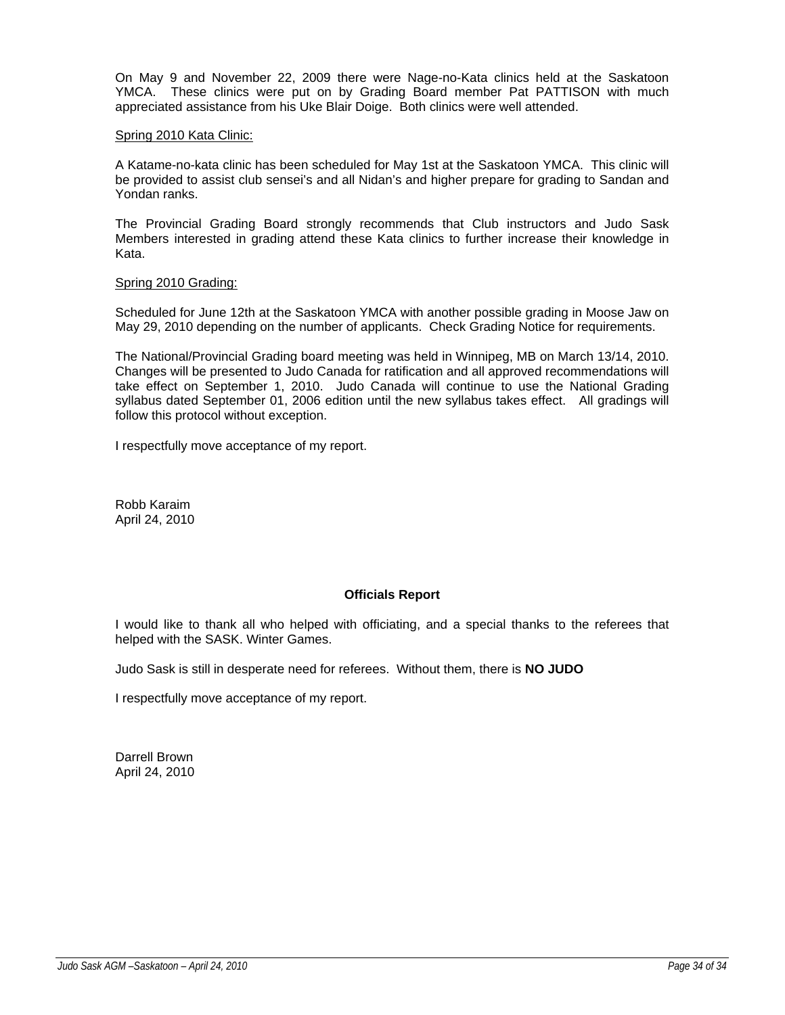On May 9 and November 22, 2009 there were Nage-no-Kata clinics held at the Saskatoon YMCA. These clinics were put on by Grading Board member Pat PATTISON with much appreciated assistance from his Uke Blair Doige. Both clinics were well attended.

## Spring 2010 Kata Clinic:

A Katame-no-kata clinic has been scheduled for May 1st at the Saskatoon YMCA. This clinic will be provided to assist club sensei's and all Nidan's and higher prepare for grading to Sandan and Yondan ranks.

The Provincial Grading Board strongly recommends that Club instructors and Judo Sask Members interested in grading attend these Kata clinics to further increase their knowledge in Kata.

#### Spring 2010 Grading:

Scheduled for June 12th at the Saskatoon YMCA with another possible grading in Moose Jaw on May 29, 2010 depending on the number of applicants. Check Grading Notice for requirements.

The National/Provincial Grading board meeting was held in Winnipeg, MB on March 13/14, 2010. Changes will be presented to Judo Canada for ratification and all approved recommendations will take effect on September 1, 2010. Judo Canada will continue to use the National Grading syllabus dated September 01, 2006 edition until the new syllabus takes effect. All gradings will follow this protocol without exception.

I respectfully move acceptance of my report.

Robb Karaim April 24, 2010

# **Officials Report**

I would like to thank all who helped with officiating, and a special thanks to the referees that helped with the SASK. Winter Games.

Judo Sask is still in desperate need for referees. Without them, there is **NO JUDO**

I respectfully move acceptance of my report.

Darrell Brown April 24, 2010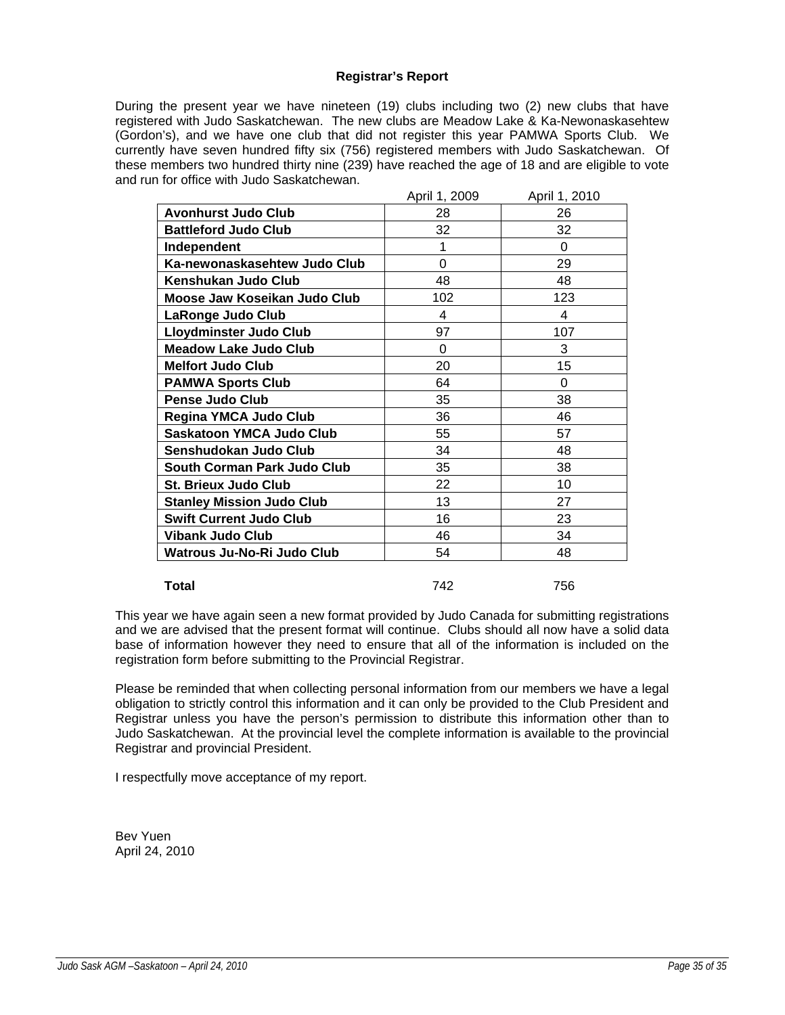# **Registrar's Report**

During the present year we have nineteen (19) clubs including two (2) new clubs that have registered with Judo Saskatchewan. The new clubs are Meadow Lake & Ka-Newonaskasehtew (Gordon's), and we have one club that did not register this year PAMWA Sports Club. We currently have seven hundred fifty six (756) registered members with Judo Saskatchewan. Of these members two hundred thirty nine (239) have reached the age of 18 and are eligible to vote and run for office with Judo Saskatchewan.

|                                  | April 1, 2009 | April 1, 2010 |
|----------------------------------|---------------|---------------|
| <b>Avonhurst Judo Club</b>       | 28            | 26            |
| <b>Battleford Judo Club</b>      | 32            | 32            |
| Independent                      | 1             | 0             |
| Ka-newonaskasehtew Judo Club     | 0             | 29            |
| Kenshukan Judo Club              | 48            | 48            |
| Moose Jaw Koseikan Judo Club     | 102           | 123           |
| LaRonge Judo Club                | 4             | 4             |
| <b>Lloydminster Judo Club</b>    | 97            | 107           |
| <b>Meadow Lake Judo Club</b>     | 0             | 3             |
| <b>Melfort Judo Club</b>         | 20            | 15            |
| <b>PAMWA Sports Club</b>         | 64            | 0             |
| <b>Pense Judo Club</b>           | 35            | 38            |
| <b>Regina YMCA Judo Club</b>     | 36            | 46            |
| <b>Saskatoon YMCA Judo Club</b>  | 55            | 57            |
| Senshudokan Judo Club            | 34            | 48            |
| South Corman Park Judo Club      | 35            | 38            |
| <b>St. Brieux Judo Club</b>      | 22            | 10            |
| <b>Stanley Mission Judo Club</b> | 13            | 27            |
| <b>Swift Current Judo Club</b>   | 16            | 23            |
| <b>Vibank Judo Club</b>          | 46            | 34            |
| Watrous Ju-No-Ri Judo Club       | 54            | 48            |
|                                  |               |               |

**Total** 742 756

This year we have again seen a new format provided by Judo Canada for submitting registrations and we are advised that the present format will continue. Clubs should all now have a solid data base of information however they need to ensure that all of the information is included on the registration form before submitting to the Provincial Registrar.

Please be reminded that when collecting personal information from our members we have a legal obligation to strictly control this information and it can only be provided to the Club President and Registrar unless you have the person's permission to distribute this information other than to Judo Saskatchewan. At the provincial level the complete information is available to the provincial Registrar and provincial President.

I respectfully move acceptance of my report.

Bev Yuen April 24, 2010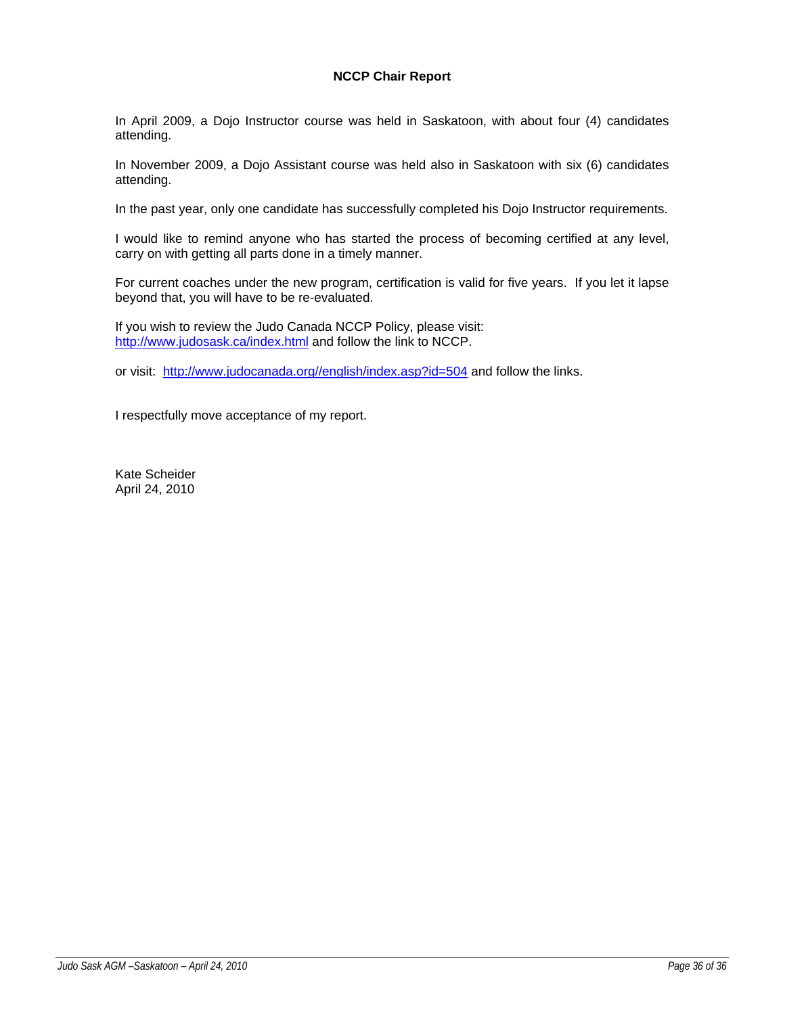# **NCCP Chair Report**

In April 2009, a Dojo Instructor course was held in Saskatoon, with about four (4) candidates attending.

In November 2009, a Dojo Assistant course was held also in Saskatoon with six (6) candidates attending.

In the past year, only one candidate has successfully completed his Dojo Instructor requirements.

I would like to remind anyone who has started the process of becoming certified at any level, carry on with getting all parts done in a timely manner.

For current coaches under the new program, certification is valid for five years. If you let it lapse beyond that, you will have to be re-evaluated.

If you wish to review the Judo Canada NCCP Policy, please visit: http://www.judosask.ca/index.html and follow the link to NCCP.

or visit: http://www.judocanada.org//english/index.asp?id=504 and follow the links.

I respectfully move acceptance of my report.

Kate Scheider April 24, 2010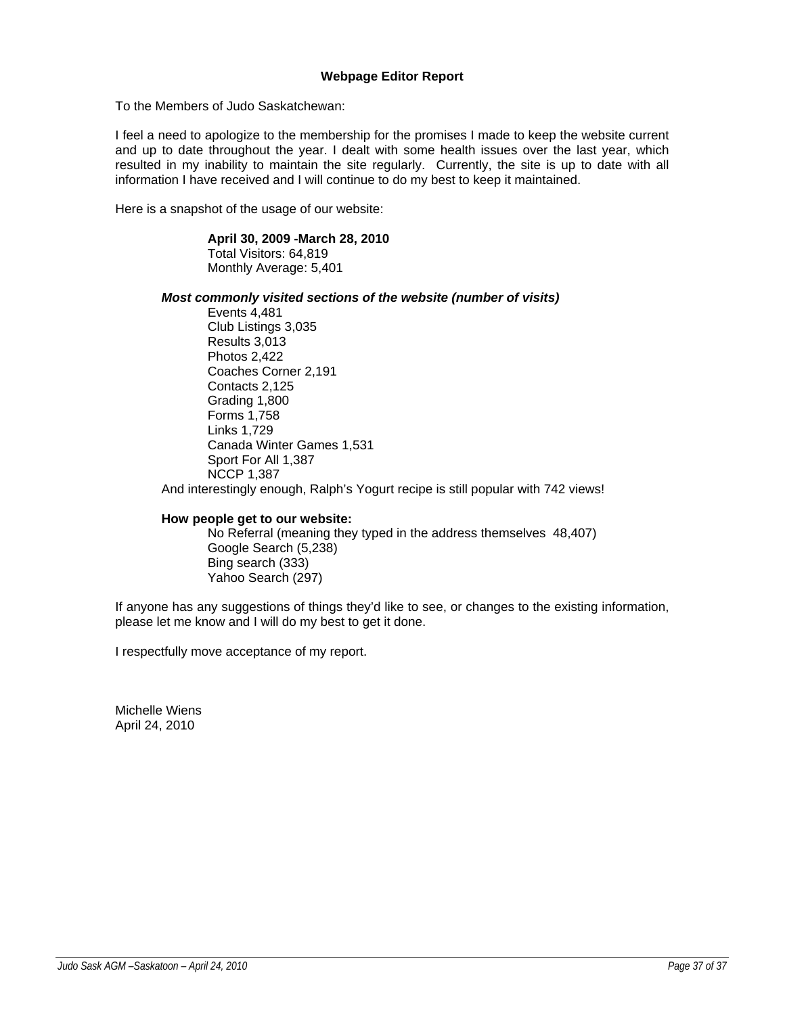# **Webpage Editor Report**

To the Members of Judo Saskatchewan:

I feel a need to apologize to the membership for the promises I made to keep the website current and up to date throughout the year. I dealt with some health issues over the last year, which resulted in my inability to maintain the site regularly. Currently, the site is up to date with all information I have received and I will continue to do my best to keep it maintained.

Here is a snapshot of the usage of our website:

#### **April 30, 2009 -March 28, 2010**  Total Visitors: 64,819

Monthly Average: 5,401

# *Most commonly visited sections of the website (number of visits)*

 Events 4,481 Club Listings 3,035 Results 3,013 Photos 2,422 Coaches Corner 2,191 Contacts 2,125 Grading 1,800 Forms 1,758 Links 1,729 Canada Winter Games 1,531 Sport For All 1,387 NCCP 1,387

And interestingly enough, Ralph's Yogurt recipe is still popular with 742 views!

# **How people get to our website:**

 No Referral (meaning they typed in the address themselves 48,407) Google Search (5,238) Bing search (333) Yahoo Search (297)

If anyone has any suggestions of things they'd like to see, or changes to the existing information, please let me know and I will do my best to get it done.

I respectfully move acceptance of my report.

Michelle Wiens April 24, 2010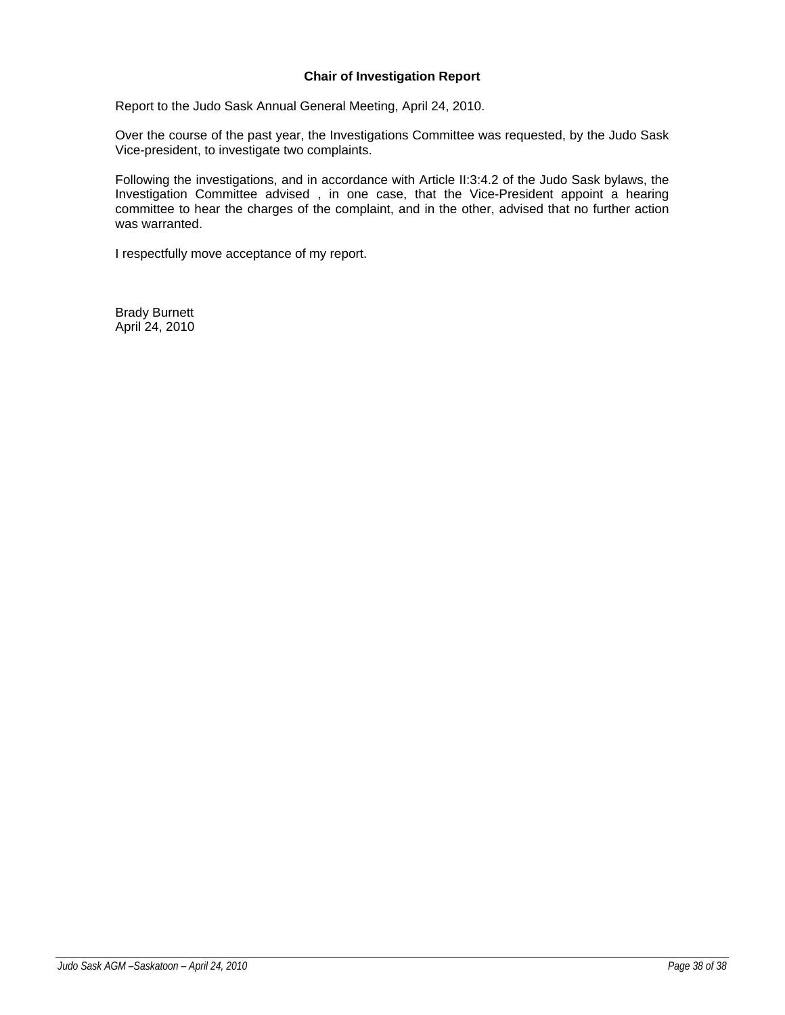# **Chair of Investigation Report**

Report to the Judo Sask Annual General Meeting, April 24, 2010.

Over the course of the past year, the Investigations Committee was requested, by the Judo Sask Vice-president, to investigate two complaints.

Following the investigations, and in accordance with Article II:3:4.2 of the Judo Sask bylaws, the Investigation Committee advised , in one case, that the Vice-President appoint a hearing committee to hear the charges of the complaint, and in the other, advised that no further action was warranted.

I respectfully move acceptance of my report.

Brady Burnett April 24, 2010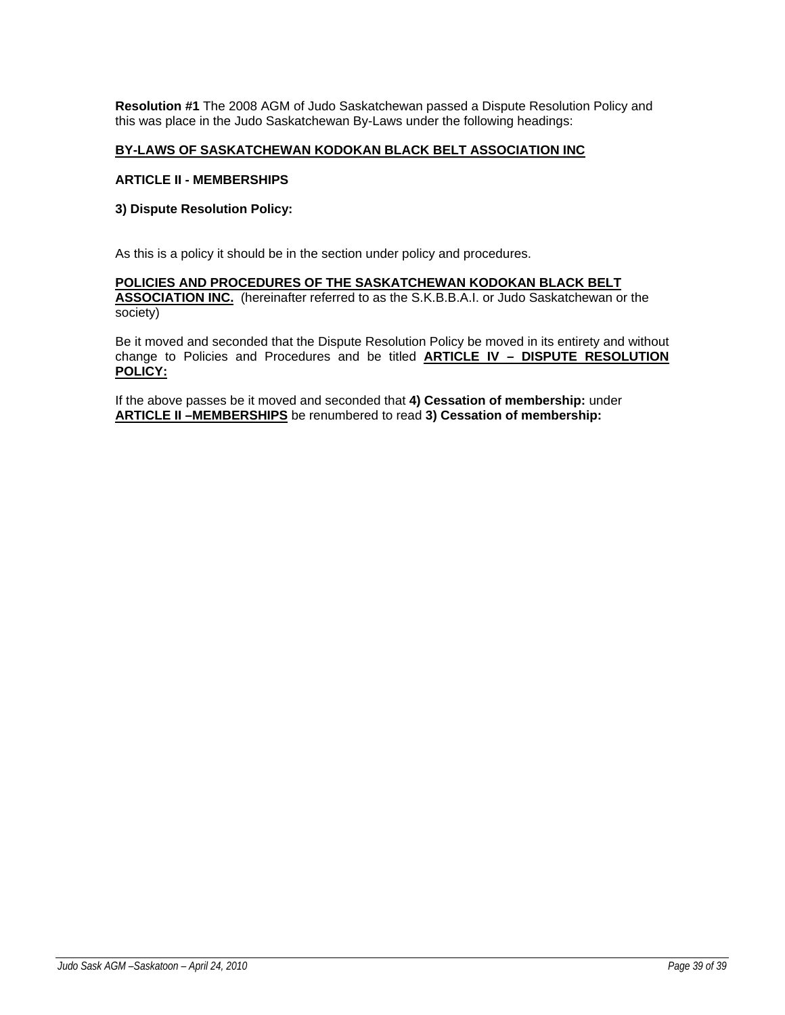**Resolution #1** The 2008 AGM of Judo Saskatchewan passed a Dispute Resolution Policy and this was place in the Judo Saskatchewan By-Laws under the following headings:

# **BY-LAWS OF SASKATCHEWAN KODOKAN BLACK BELT ASSOCIATION INC**

#### **ARTICLE II - MEMBERSHIPS**

## **3) Dispute Resolution Policy:**

As this is a policy it should be in the section under policy and procedures.

## **POLICIES AND PROCEDURES OF THE SASKATCHEWAN KODOKAN BLACK BELT ASSOCIATION INC.** (hereinafter referred to as the S.K.B.B.A.I. or Judo Saskatchewan or the society)

Be it moved and seconded that the Dispute Resolution Policy be moved in its entirety and without change to Policies and Procedures and be titled **ARTICLE IV – DISPUTE RESOLUTION POLICY:**

If the above passes be it moved and seconded that **4) Cessation of membership:** under **ARTICLE II –MEMBERSHIPS** be renumbered to read **3) Cessation of membership:**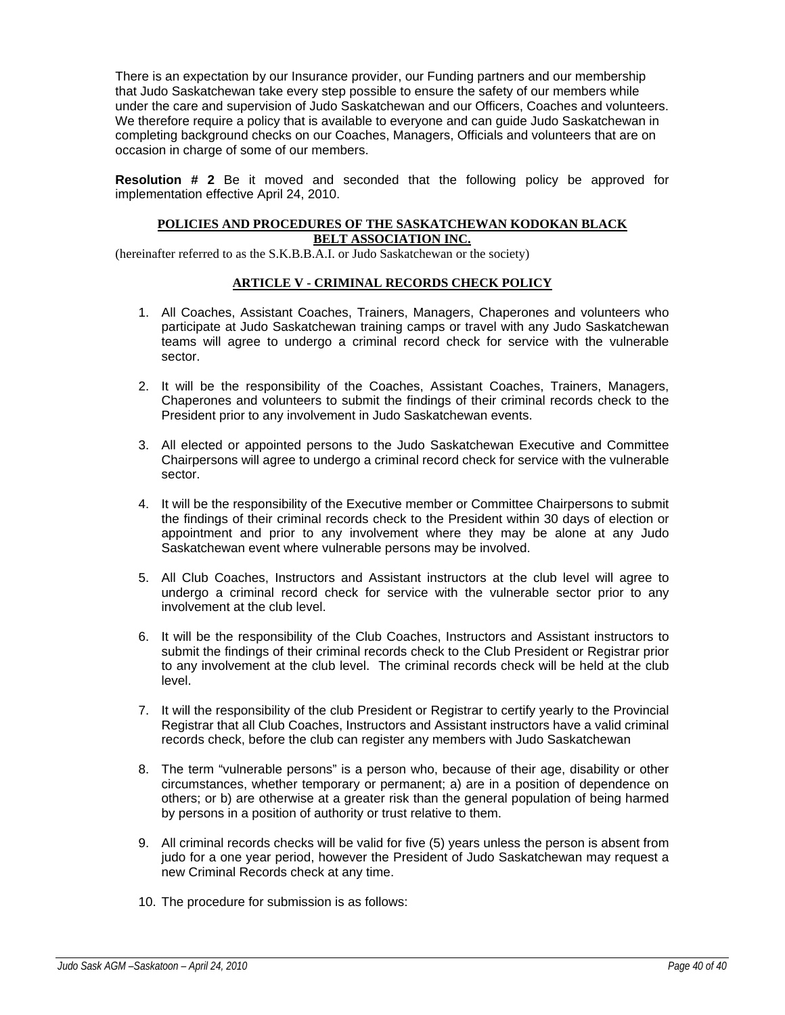There is an expectation by our Insurance provider, our Funding partners and our membership that Judo Saskatchewan take every step possible to ensure the safety of our members while under the care and supervision of Judo Saskatchewan and our Officers, Coaches and volunteers. We therefore require a policy that is available to everyone and can guide Judo Saskatchewan in completing background checks on our Coaches, Managers, Officials and volunteers that are on occasion in charge of some of our members.

**Resolution # 2** Be it moved and seconded that the following policy be approved for implementation effective April 24, 2010.

# **POLICIES AND PROCEDURES OF THE SASKATCHEWAN KODOKAN BLACK BELT ASSOCIATION INC.**

(hereinafter referred to as the S.K.B.B.A.I. or Judo Saskatchewan or the society)

# **ARTICLE V - CRIMINAL RECORDS CHECK POLICY**

- 1. All Coaches, Assistant Coaches, Trainers, Managers, Chaperones and volunteers who participate at Judo Saskatchewan training camps or travel with any Judo Saskatchewan teams will agree to undergo a criminal record check for service with the vulnerable sector.
- 2. It will be the responsibility of the Coaches, Assistant Coaches, Trainers, Managers, Chaperones and volunteers to submit the findings of their criminal records check to the President prior to any involvement in Judo Saskatchewan events.
- 3. All elected or appointed persons to the Judo Saskatchewan Executive and Committee Chairpersons will agree to undergo a criminal record check for service with the vulnerable sector.
- 4. It will be the responsibility of the Executive member or Committee Chairpersons to submit the findings of their criminal records check to the President within 30 days of election or appointment and prior to any involvement where they may be alone at any Judo Saskatchewan event where vulnerable persons may be involved.
- 5. All Club Coaches, Instructors and Assistant instructors at the club level will agree to undergo a criminal record check for service with the vulnerable sector prior to any involvement at the club level.
- 6. It will be the responsibility of the Club Coaches, Instructors and Assistant instructors to submit the findings of their criminal records check to the Club President or Registrar prior to any involvement at the club level. The criminal records check will be held at the club level.
- 7. It will the responsibility of the club President or Registrar to certify yearly to the Provincial Registrar that all Club Coaches, Instructors and Assistant instructors have a valid criminal records check, before the club can register any members with Judo Saskatchewan
- 8. The term "vulnerable persons" is a person who, because of their age, disability or other circumstances, whether temporary or permanent; a) are in a position of dependence on others; or b) are otherwise at a greater risk than the general population of being harmed by persons in a position of authority or trust relative to them.
- 9. All criminal records checks will be valid for five (5) years unless the person is absent from judo for a one year period, however the President of Judo Saskatchewan may request a new Criminal Records check at any time.
- 10. The procedure for submission is as follows: